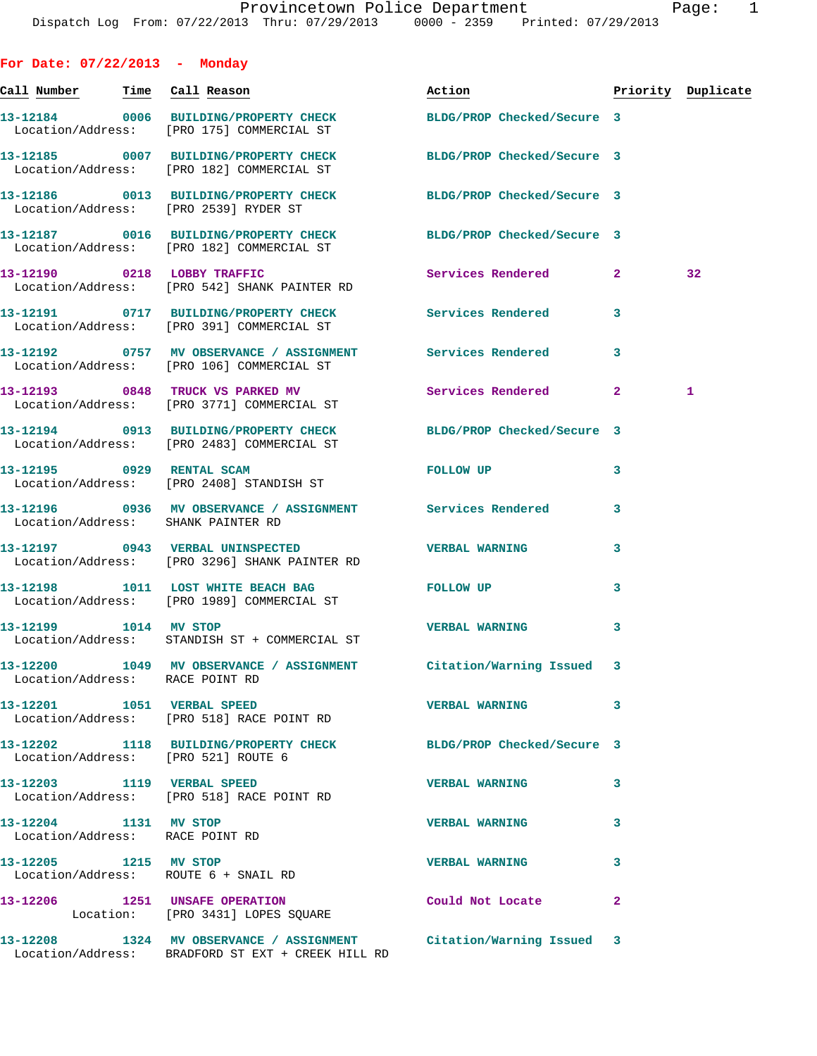| For Date: $07/22/2013$ - Monday                          |                                                                                                                         |                            |                |                    |
|----------------------------------------------------------|-------------------------------------------------------------------------------------------------------------------------|----------------------------|----------------|--------------------|
| Call Number                                              | Time Call Reason                                                                                                        | <u>Action</u>              |                | Priority Duplicate |
|                                                          | 13-12184 0006 BUILDING/PROPERTY CHECK<br>Location/Address: [PRO 175] COMMERCIAL ST                                      | BLDG/PROP Checked/Secure 3 |                |                    |
|                                                          | 13-12185 0007 BUILDING/PROPERTY CHECK<br>Location/Address: [PRO 182] COMMERCIAL ST                                      | BLDG/PROP Checked/Secure 3 |                |                    |
|                                                          | 13-12186 0013 BUILDING/PROPERTY CHECK<br>Location/Address: [PRO 2539] RYDER ST                                          | BLDG/PROP Checked/Secure 3 |                |                    |
|                                                          | 13-12187 0016 BUILDING/PROPERTY CHECK<br>Location/Address: [PRO 182] COMMERCIAL ST                                      | BLDG/PROP Checked/Secure 3 |                |                    |
| 13-12190 0218 LOBBY TRAFFIC                              | Location/Address: [PRO 542] SHANK PAINTER RD                                                                            | Services Rendered          | $\mathbf{2}$   | 32                 |
|                                                          | 13-12191 0717 BUILDING/PROPERTY CHECK Services Rendered<br>Location/Address: [PRO 391] COMMERCIAL ST                    |                            | 3              |                    |
|                                                          | 13-12192 0757 MV OBSERVANCE / ASSIGNMENT Services Rendered<br>Location/Address: [PRO 106] COMMERCIAL ST                 |                            | 3              |                    |
|                                                          | 13-12193 0848 TRUCK VS PARKED MV<br>Location/Address: [PRO 3771] COMMERCIAL ST                                          | Services Rendered          | $\mathbf{2}$   | 1                  |
|                                                          | 13-12194 0913 BUILDING/PROPERTY CHECK<br>Location/Address: [PRO 2483] COMMERCIAL ST                                     | BLDG/PROP Checked/Secure 3 |                |                    |
|                                                          | 13-12195 0929 RENTAL SCAM<br>Location/Address: [PRO 2408] STANDISH ST                                                   | FOLLOW UP                  | 3              |                    |
| Location/Address: SHANK PAINTER RD                       | 13-12196 0936 MV OBSERVANCE / ASSIGNMENT Services Rendered                                                              |                            | 3              |                    |
|                                                          | 13-12197 0943 VERBAL UNINSPECTED<br>Location/Address: [PRO 3296] SHANK PAINTER RD                                       | <b>VERBAL WARNING</b>      | 3              |                    |
|                                                          | 13-12198 1011 LOST WHITE BEACH BAG<br>Location/Address: [PRO 1989] COMMERCIAL ST                                        | FOLLOW UP                  | 3              |                    |
| 13-12199 1014 MV STOP                                    | Location/Address: STANDISH ST + COMMERCIAL ST                                                                           | <b>VERBAL WARNING</b>      | 3              |                    |
| Location/Address: RACE POINT RD                          | 13-12200 1049 MV OBSERVANCE / ASSIGNMENT Citation/Warning Issued 3                                                      |                            |                |                    |
|                                                          | 13-12201    1051    VERBAL SPEED<br>Location/Address: [PRO 518] RACE POINT RD                                           | <b>VERBAL WARNING</b>      | 3              |                    |
|                                                          | 13-12202 1118 BUILDING/PROPERTY CHECK BLDG/PROP Checked/Secure 3<br>Location/Address: [PRO 521] ROUTE 6                 |                            |                |                    |
|                                                          | 13-12203 1119 VERBAL SPEED<br>Location/Address: [PRO 518] RACE POINT RD                                                 | <b>VERBAL WARNING</b>      | 3              |                    |
| 13-12204 1131 MV STOP<br>Location/Address: RACE POINT RD |                                                                                                                         | <b>VERBAL WARNING</b>      | 3              |                    |
|                                                          | 13-12205 1215 MV STOP<br>Location/Address: ROUTE 6 + SNAIL RD                                                           | <b>VERBAL WARNING</b>      | 3              |                    |
|                                                          | 13-12206 1251 UNSAFE OPERATION<br>Location: [PRO 3431] LOPES SQUARE                                                     | Could Not Locate           | $\overline{a}$ |                    |
|                                                          | 13-12208 1324 MV OBSERVANCE / ASSIGNMENT Citation/Warning Issued 3<br>Location/Address: BRADFORD ST EXT + CREEK HILL RD |                            |                |                    |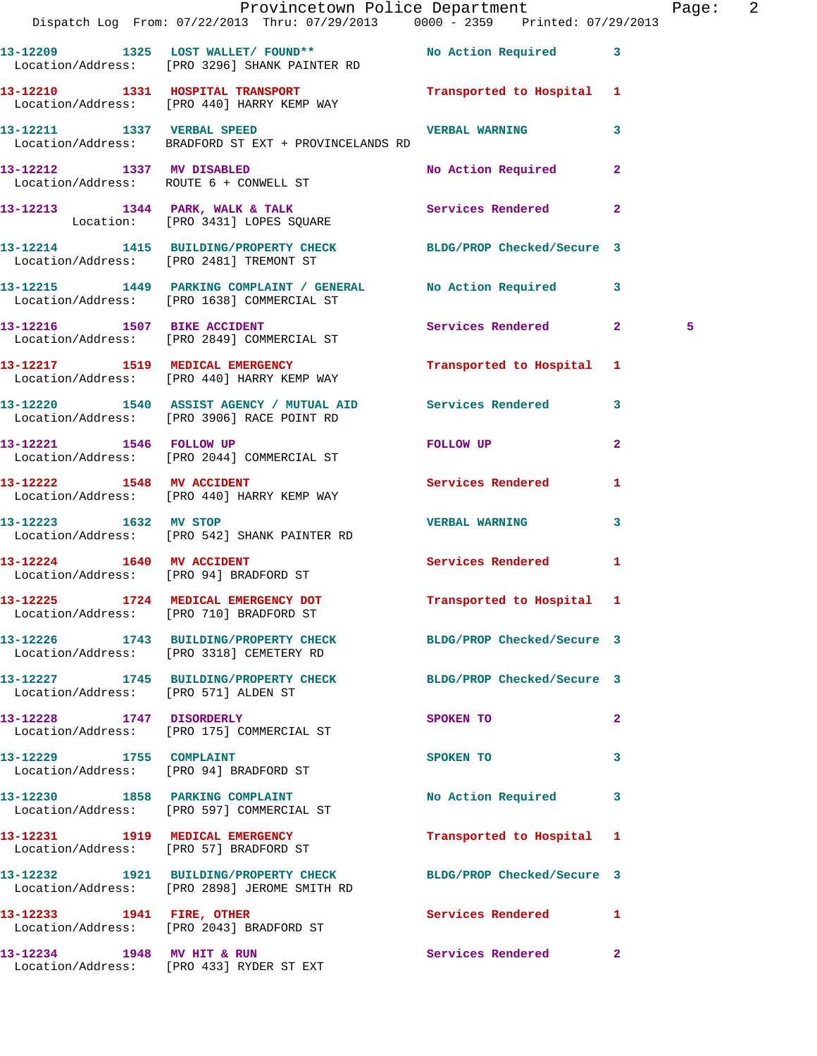|                                        | Provincetown Police Department The Rage: 2<br>Dispatch Log From: 07/22/2013 Thru: 07/29/2013 0000 - 2359 Printed: 07/29/2013 |                           |                |   |  |
|----------------------------------------|------------------------------------------------------------------------------------------------------------------------------|---------------------------|----------------|---|--|
|                                        | 13-12209 1325 LOST WALLET/FOUND** No Action Required 3<br>Location/Address: [PRO 3296] SHANK PAINTER RD                      |                           |                |   |  |
|                                        | 13-12210 1331 HOSPITAL TRANSPORT Transported to Hospital 1<br>Location/Address: [PRO 440] HARRY KEMP WAY                     |                           |                |   |  |
|                                        | 13-12211 1337 VERBAL SPEED VERBAL NARNING VERBAL MARNING 3<br>Location/Address: BRADFORD ST EXT + PROVINCELANDS RD           |                           |                |   |  |
|                                        | 13-12212 1337 MV DISABLED No Action Required 2<br>Location/Address: ROUTE 6 + CONWELL ST                                     |                           |                |   |  |
|                                        | 13-12213 1344 PARK, WALK & TALK Services Rendered 2<br>Location: [PRO 3431] LOPES SQUARE                                     |                           |                |   |  |
|                                        | 13-12214 1415 BUILDING/PROPERTY CHECK BLDG/PROP Checked/Secure 3<br>Location/Address: [PRO 2481] TREMONT ST                  |                           |                |   |  |
|                                        | 13-12215 1449 PARKING COMPLAINT / GENERAL No Action Required 3<br>Location/Address: [PRO 1638] COMMERCIAL ST                 |                           |                |   |  |
|                                        | 13-12216 1507 BIKE ACCIDENT<br>Location/Address: [PRO 2849] COMMERCIAL ST                                                    | Services Rendered 2       |                | 5 |  |
|                                        | 13-12217 1519 MEDICAL EMERGENCY 1 Transported to Hospital 1<br>Location/Address: [PRO 440] HARRY KEMP WAY                    |                           |                |   |  |
|                                        | 13-12220 1540 ASSIST AGENCY / MUTUAL AID Services Rendered 3<br>Location/Address: [PRO 3906] RACE POINT RD                   |                           |                |   |  |
|                                        | 13-12221 1546 FOLLOW UP<br>Location/Address: [PRO 2044] COMMERCIAL ST                                                        | FOLLOW UP                 | $\overline{2}$ |   |  |
|                                        | 13-12222 1548 MV ACCIDENT<br>Location/Address: [PRO 440] HARRY KEMP WAY                                                      | Services Rendered 1       |                |   |  |
| 13-12223 1632 MV STOP                  | Location/Address: [PRO 542] SHANK PAINTER RD                                                                                 | <b>VERBAL WARNING</b>     | $\mathbf{3}$   |   |  |
| Location/Address: [PRO 94] BRADFORD ST | 13-12224 1640 MV ACCIDENT                                                                                                    | Services Rendered 1       |                |   |  |
|                                        | 13-12225 1724 MEDICAL EMERGENCY DOT <b>Transported</b> to Hospital 1<br>Location/Address: [PRO 710] BRADFORD ST              |                           |                |   |  |
|                                        | 13-12226 1743 BUILDING/PROPERTY CHECK BLDG/PROP Checked/Secure 3<br>Location/Address: [PRO 3318] CEMETERY RD                 |                           |                |   |  |
| Location/Address: [PRO 571] ALDEN ST   | 13-12227 1745 BUILDING/PROPERTY CHECK BLDG/PROP Checked/Secure 3                                                             |                           |                |   |  |
|                                        | 13-12228 1747 DISORDERLY<br>Location/Address: [PRO 175] COMMERCIAL ST                                                        | SPOKEN TO                 | $\mathbf{2}$   |   |  |
| 13-12229 1755 COMPLAINT                | Location/Address: [PRO 94] BRADFORD ST                                                                                       | SPOKEN TO                 | $\mathbf{3}$   |   |  |
|                                        | 13-12230 1858 PARKING COMPLAINT<br>Location/Address: [PRO 597] COMMERCIAL ST                                                 | No Action Required 3      |                |   |  |
|                                        | 13-12231 1919 MEDICAL EMERGENCY<br>Location/Address: [PRO 57] BRADFORD ST                                                    | Transported to Hospital 1 |                |   |  |
|                                        | 13-12232 1921 BUILDING/PROPERTY CHECK BLDG/PROP Checked/Secure 3<br>Location/Address: [PRO 2898] JEROME SMITH RD             |                           |                |   |  |
| 13-12233 1941 FIRE, OTHER              | Location/Address: [PRO 2043] BRADFORD ST                                                                                     | Services Rendered 1       |                |   |  |
|                                        | 13-12234 1948 MV HIT & RUN<br>Location/Address: [PRO 433] RYDER ST EXT                                                       | Services Rendered 2       |                |   |  |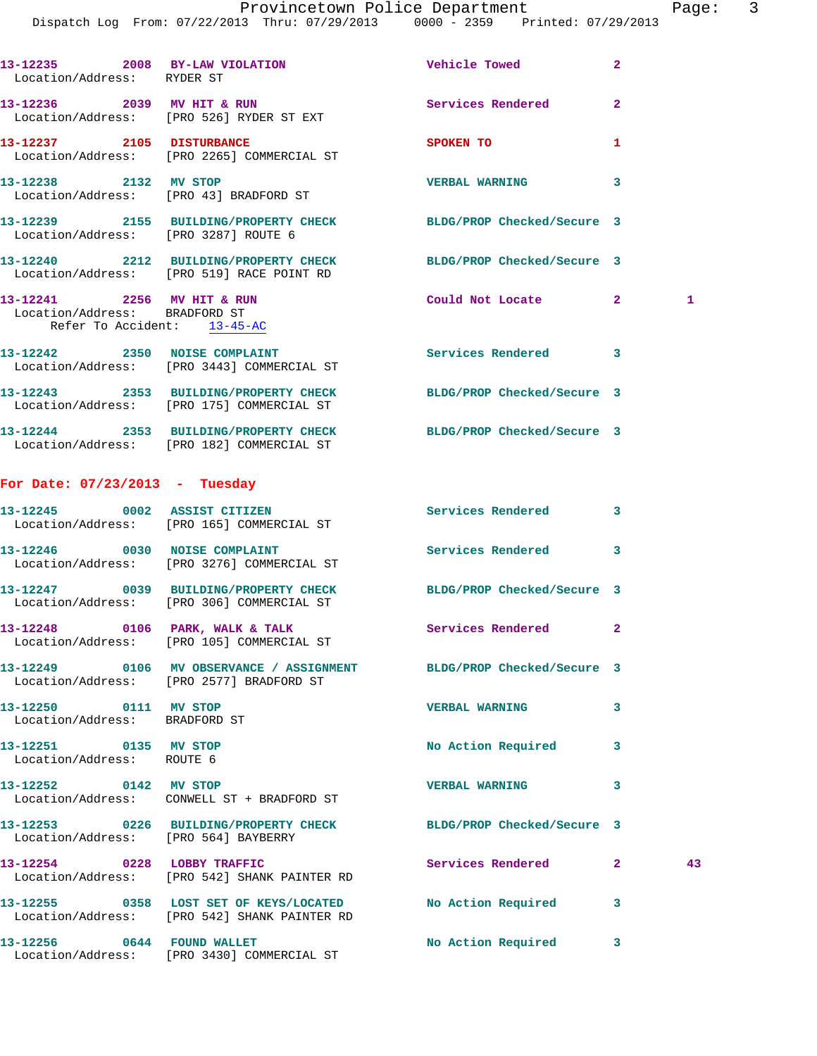| Location/Address: RYDER ST                                  | 13-12235 2008 BY-LAW VIOLATION Charle Towed                                                                     |                            | $\mathbf{2}$   |    |
|-------------------------------------------------------------|-----------------------------------------------------------------------------------------------------------------|----------------------------|----------------|----|
|                                                             | 13-12236 2039 MV HIT & RUN<br>Location/Address: [PRO 526] RYDER ST EXT                                          | <b>Services Rendered</b>   | $\overline{a}$ |    |
|                                                             | 13-12237 2105 DISTURBANCE<br>Location/Address: [PRO 2265] COMMERCIAL ST                                         | SPOKEN TO                  | 1              |    |
| 13-12238 2132 MV STOP                                       | Location/Address: [PRO 43] BRADFORD ST                                                                          | <b>VERBAL WARNING</b>      | 3              |    |
| Location/Address: [PRO 3287] ROUTE 6                        | 13-12239 2155 BUILDING/PROPERTY CHECK                                                                           | BLDG/PROP Checked/Secure 3 |                |    |
|                                                             | 13-12240 2212 BUILDING/PROPERTY CHECK<br>Location/Address: [PRO 519] RACE POINT RD                              | BLDG/PROP Checked/Secure 3 |                |    |
| 13-12241 2256 MV HIT & RUN<br>Location/Address: BRADFORD ST | Refer To Accident: 13-45-AC                                                                                     | Could Not Locate           | $\mathbf{2}$   | 1  |
|                                                             | 13-12242 2350 NOISE COMPLAINT<br>Location/Address: [PRO 3443] COMMERCIAL ST                                     | Services Rendered 3        |                |    |
|                                                             | 13-12243 2353 BUILDING/PROPERTY CHECK<br>Location/Address: [PRO 175] COMMERCIAL ST                              | BLDG/PROP Checked/Secure 3 |                |    |
|                                                             | 13-12244 2353 BUILDING/PROPERTY CHECK<br>Location/Address: [PRO 182] COMMERCIAL ST                              | BLDG/PROP Checked/Secure 3 |                |    |
| For Date: $07/23/2013$ - Tuesday                            |                                                                                                                 |                            |                |    |
|                                                             | 13-12245 0002 ASSIST CITIZEN<br>Location/Address: [PRO 165] COMMERCIAL ST                                       | Services Rendered          | 3              |    |
|                                                             | 13-12246 0030 NOISE COMPLAINT<br>Location/Address: [PRO 3276] COMMERCIAL ST                                     | Services Rendered          | 3              |    |
|                                                             | 13-12247 0039 BUILDING/PROPERTY CHECK<br>Location/Address: [PRO 306] COMMERCIAL ST                              | BLDG/PROP Checked/Secure 3 |                |    |
|                                                             | 13-12248 0106 PARK, WALK & TALK<br>Location/Address: [PRO 105] COMMERCIAL ST                                    | Services Rendered 2        |                |    |
|                                                             | 13-12249 0106 MV OBSERVANCE / ASSIGNMENT BLDG/PROP Checked/Secure 3<br>Location/Address: [PRO 2577] BRADFORD ST |                            |                |    |
| 13-12250 0111 MV STOP<br>Location/Address: BRADFORD ST      |                                                                                                                 | <b>VERBAL WARNING</b>      | 3              |    |
| 13-12251 0135 MV STOP<br>Location/Address: ROUTE 6          |                                                                                                                 | No Action Required         | 3              |    |
| 13-12252 0142 MV STOP                                       | Location/Address: CONWELL ST + BRADFORD ST                                                                      | <b>VERBAL WARNING</b>      | 3              |    |
|                                                             | 13-12253 0226 BUILDING/PROPERTY CHECK<br>Location/Address: [PRO 564] BAYBERRY                                   | BLDG/PROP Checked/Secure 3 |                |    |
| 13-12254 0228 LOBBY TRAFFIC                                 | Location/Address: [PRO 542] SHANK PAINTER RD                                                                    | Services Rendered          | $\mathbf{2}$   | 43 |
|                                                             | 13-12255 0358 LOST SET OF KEYS/LOCATED<br>Location/Address: [PRO 542] SHANK PAINTER RD                          | No Action Required         | 3              |    |
| 13-12256 0644 FOUND WALLET                                  | Location/Address: [PRO 3430] COMMERCIAL ST                                                                      | No Action Required         | 3              |    |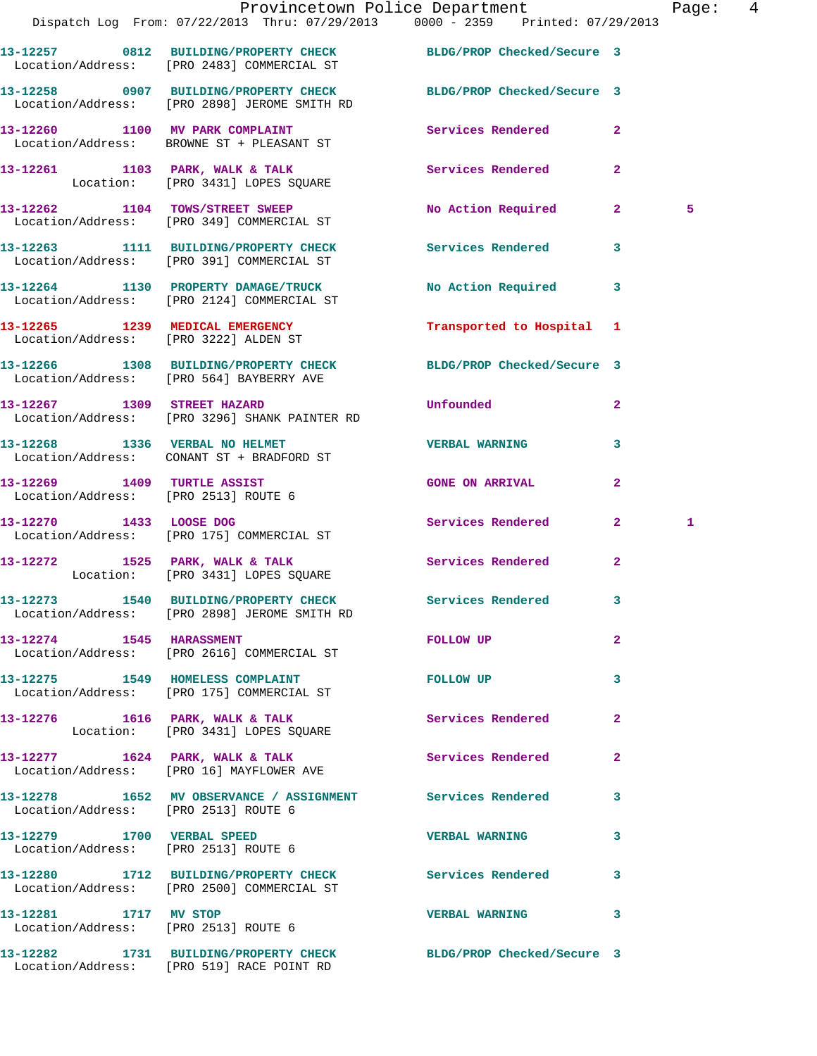|                                      | Provincetown Police Department<br>Dispatch Log From: 07/22/2013 Thru: 07/29/2013 0000 - 2359 Printed: 07/29/2013 |                           |              | Page: 4 |  |
|--------------------------------------|------------------------------------------------------------------------------------------------------------------|---------------------------|--------------|---------|--|
|                                      | 13-12257 0812 BUILDING/PROPERTY CHECK BLDG/PROP Checked/Secure 3<br>Location/Address: [PRO 2483] COMMERCIAL ST   |                           |              |         |  |
|                                      | 13-12258 0907 BUILDING/PROPERTY CHECK BLDG/PROP Checked/Secure 3<br>Location/Address: [PRO 2898] JEROME SMITH RD |                           |              |         |  |
|                                      | 13-12260 1100 MV PARK COMPLAINT<br>Location/Address: BROWNE ST + PLEASANT ST                                     | Services Rendered 2       |              |         |  |
|                                      | 13-12261 1103 PARK, WALK & TALK 1999 Services Rendered<br>Location: [PRO 3431] LOPES SQUARE                      |                           | $\mathbf{2}$ |         |  |
|                                      | 13-12262 1104 TOWS/STREET SWEEP<br>Location/Address: [PRO 349] COMMERCIAL ST                                     | No Action Required 2      |              | 5       |  |
|                                      | 13-12263 1111 BUILDING/PROPERTY CHECK Services Rendered<br>Location/Address: [PRO 391] COMMERCIAL ST             |                           | $\mathbf{3}$ |         |  |
|                                      | 13-12264 1130 PROPERTY DAMAGE/TRUCK<br>Location/Address: [PRO 2124] COMMERCIAL ST                                | No Action Required 3      |              |         |  |
|                                      | 13-12265 1239 MEDICAL EMERGENCY<br>Location/Address: [PRO 3222] ALDEN ST                                         | Transported to Hospital 1 |              |         |  |
|                                      | 13-12266 1308 BUILDING/PROPERTY CHECK BLDG/PROP Checked/Secure 3<br>Location/Address: [PRO 564] BAYBERRY AVE     |                           |              |         |  |
|                                      | 13-12267 1309 STREET HAZARD<br>Location/Address: [PRO 3296] SHANK PAINTER RD                                     | <b>Unfounded</b>          | $\mathbf{2}$ |         |  |
| 13-12268 1336 VERBAL NO HELMET       | Location/Address: CONANT ST + BRADFORD ST                                                                        | <b>VERBAL WARNING</b>     | $\mathbf{3}$ |         |  |
| Location/Address: [PRO 2513] ROUTE 6 | 13-12269 1409 TURTLE ASSIST                                                                                      | <b>GONE ON ARRIVAL</b>    | $\mathbf{2}$ |         |  |
|                                      | 13-12270 1433 LOOSE DOG<br>Location/Address: [PRO 175] COMMERCIAL ST                                             | Services Rendered 2       |              | 1       |  |
|                                      | 13-12272 1525 PARK, WALK & TALK 1988 Services Rendered 2<br>Location: [PRO 3431] LOPES SQUARE                    |                           |              |         |  |
|                                      | 13-12273 1540 BUILDING/PROPERTY CHECK Services Rendered<br>Location/Address: [PRO 2898] JEROME SMITH RD          |                           |              |         |  |
| 13-12274 1545 HARASSMENT             | Location/Address: [PRO 2616] COMMERCIAL ST                                                                       | FOLLOW UP                 | $\mathbf{2}$ |         |  |
|                                      | 13-12275 1549 HOMELESS COMPLAINT<br>Location/Address: [PRO 175] COMMERCIAL ST                                    | FOLLOW UP                 | 3            |         |  |
|                                      | 13-12276 1616 PARK, WALK & TALK<br>Location: [PRO 3431] LOPES SQUARE                                             | Services Rendered         | $\mathbf{2}$ |         |  |
|                                      | 13-12277 1624 PARK, WALK & TALK Services Rendered<br>Location/Address: [PRO 16] MAYFLOWER AVE                    |                           | $\mathbf{2}$ |         |  |
| Location/Address: [PRO 2513] ROUTE 6 | 13-12278 1652 MV OBSERVANCE / ASSIGNMENT Services Rendered                                                       |                           | 3            |         |  |
|                                      | 13-12279 1700 VERBAL SPEED<br>Location/Address: [PRO 2513] ROUTE 6                                               | <b>VERBAL WARNING</b>     | 3            |         |  |
|                                      | 13-12280 1712 BUILDING/PROPERTY CHECK Services Rendered<br>Location/Address: [PRO 2500] COMMERCIAL ST            |                           | 3            |         |  |
| 13-12281 1717 MV STOP                | Location/Address: [PRO 2513] ROUTE 6                                                                             | <b>VERBAL WARNING</b>     | 3            |         |  |
|                                      | 13-12282 1731 BUILDING/PROPERTY CHECK BLDG/PROP Checked/Secure 3                                                 |                           |              |         |  |

Location/Address: [PRO 519] RACE POINT RD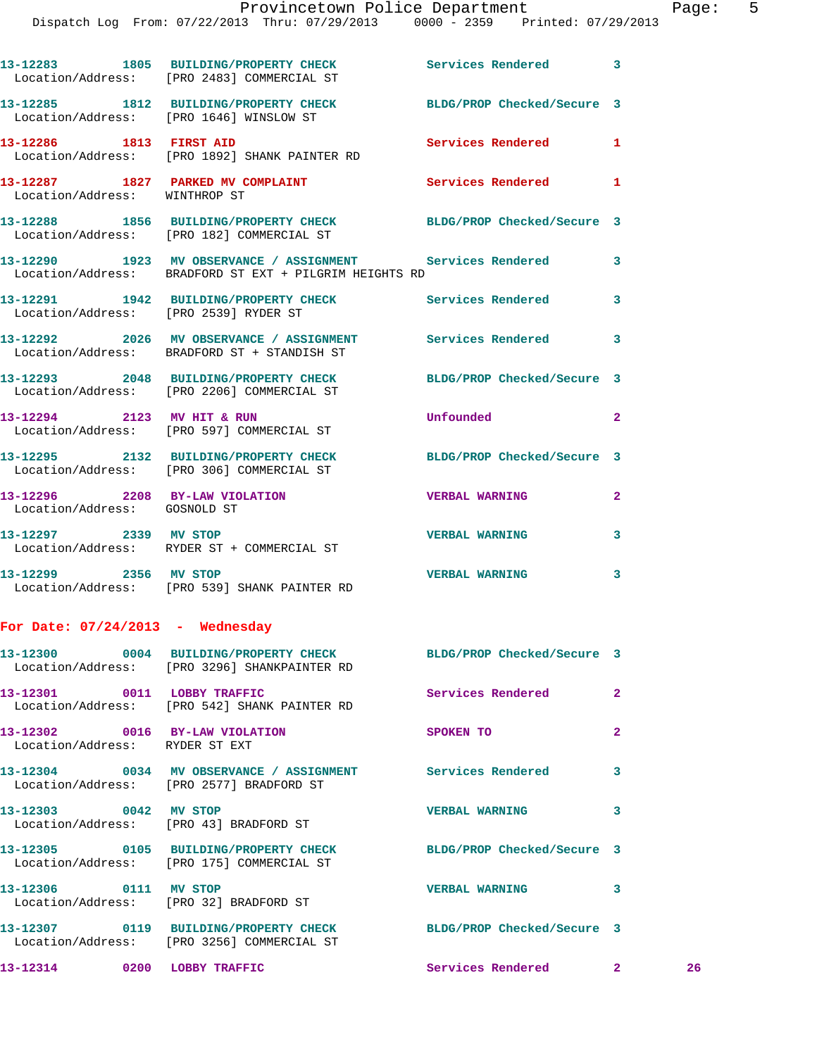|                                    | 13-12283 1805 BUILDING/PROPERTY CHECK Services Rendered<br>Location/Address: [PRO 2483] COMMERCIAL ST                |                            | 3              |    |
|------------------------------------|----------------------------------------------------------------------------------------------------------------------|----------------------------|----------------|----|
|                                    | 13-12285 1812 BUILDING/PROPERTY CHECK<br>Location/Address: [PRO 1646] WINSLOW ST                                     | BLDG/PROP Checked/Secure 3 |                |    |
| 13-12286 1813 FIRST AID            | Location/Address: [PRO 1892] SHANK PAINTER RD                                                                        | <b>Services Rendered</b>   | 1              |    |
| Location/Address: WINTHROP ST      | 13-12287 1827 PARKED MV COMPLAINT                                                                                    | Services Rendered          | 1              |    |
|                                    | 13-12288 1856 BUILDING/PROPERTY CHECK<br>Location/Address: [PRO 182] COMMERCIAL ST                                   | BLDG/PROP Checked/Secure 3 |                |    |
|                                    | 13-12290 1923 MV OBSERVANCE / ASSIGNMENT Services Rendered<br>Location/Address: BRADFORD ST EXT + PILGRIM HEIGHTS RD |                            | 3              |    |
|                                    | 13-12291 1942 BUILDING/PROPERTY CHECK Services Rendered<br>Location/Address: [PRO 2539] RYDER ST                     |                            | 3              |    |
|                                    | 13-12292 2026 MV OBSERVANCE / ASSIGNMENT Services Rendered<br>Location/Address: BRADFORD ST + STANDISH ST            |                            | 3              |    |
|                                    | 13-12293 2048 BUILDING/PROPERTY CHECK<br>Location/Address: [PRO 2206] COMMERCIAL ST                                  | BLDG/PROP Checked/Secure 3 |                |    |
|                                    | 13-12294 2123 MV HIT & RUN<br>Location/Address: [PRO 597] COMMERCIAL ST                                              | Unfounded                  | $\mathbf{2}$   |    |
|                                    | 13-12295 2132 BUILDING/PROPERTY CHECK<br>Location/Address: [PRO 306] COMMERCIAL ST                                   | BLDG/PROP Checked/Secure 3 |                |    |
| Location/Address: GOSNOLD ST       | 13-12296 2208 BY-LAW VIOLATION CHERBAL WARNING                                                                       |                            | $\mathbf{2}$   |    |
|                                    | 13-12297 2339 MV STOP<br>Location/Address: RYDER ST + COMMERCIAL ST                                                  | <b>VERBAL WARNING</b>      | 3              |    |
| 13-12299 2356 MV STOP              | Location/Address: [PRO 539] SHANK PAINTER RD                                                                         | <b>VERBAL WARNING</b>      | 3              |    |
| For Date: $07/24/2013$ - Wednesday |                                                                                                                      |                            |                |    |
|                                    | 13-12300 0004 BUILDING/PROPERTY CHECK<br>Location/Address: [PRO 3296] SHANKPAINTER RD                                | BLDG/PROP Checked/Secure 3 |                |    |
|                                    | 13-12301 0011 LOBBY TRAFFIC<br>Location/Address: [PRO 542] SHANK PAINTER RD                                          | Services Rendered          | $\overline{2}$ |    |
| Location/Address: RYDER ST EXT     | 13-12302 0016 BY-LAW VIOLATION                                                                                       | SPOKEN TO                  | $\mathbf{2}$   |    |
|                                    | 13-12304 0034 MV OBSERVANCE / ASSIGNMENT Services Rendered<br>Location/Address: [PRO 2577] BRADFORD ST               |                            | 3              |    |
| 13-12303 0042 MV STOP              | Location/Address: [PRO 43] BRADFORD ST                                                                               | <b>VERBAL WARNING</b>      | 3              |    |
|                                    | 13-12305 0105 BUILDING/PROPERTY CHECK BLDG/PROP Checked/Secure 3<br>Location/Address: [PRO 175] COMMERCIAL ST        |                            |                |    |
| 13-12306 0111 MV STOP              | Location/Address: [PRO 32] BRADFORD ST                                                                               | <b>VERBAL WARNING</b>      | 3              |    |
|                                    | 13-12307 0119 BUILDING/PROPERTY CHECK BLDG/PROP Checked/Secure 3<br>Location/Address: [PRO 3256] COMMERCIAL ST       |                            |                |    |
|                                    | 13-12314 0200 LOBBY TRAFFIC                                                                                          | Services Rendered 2        |                | 26 |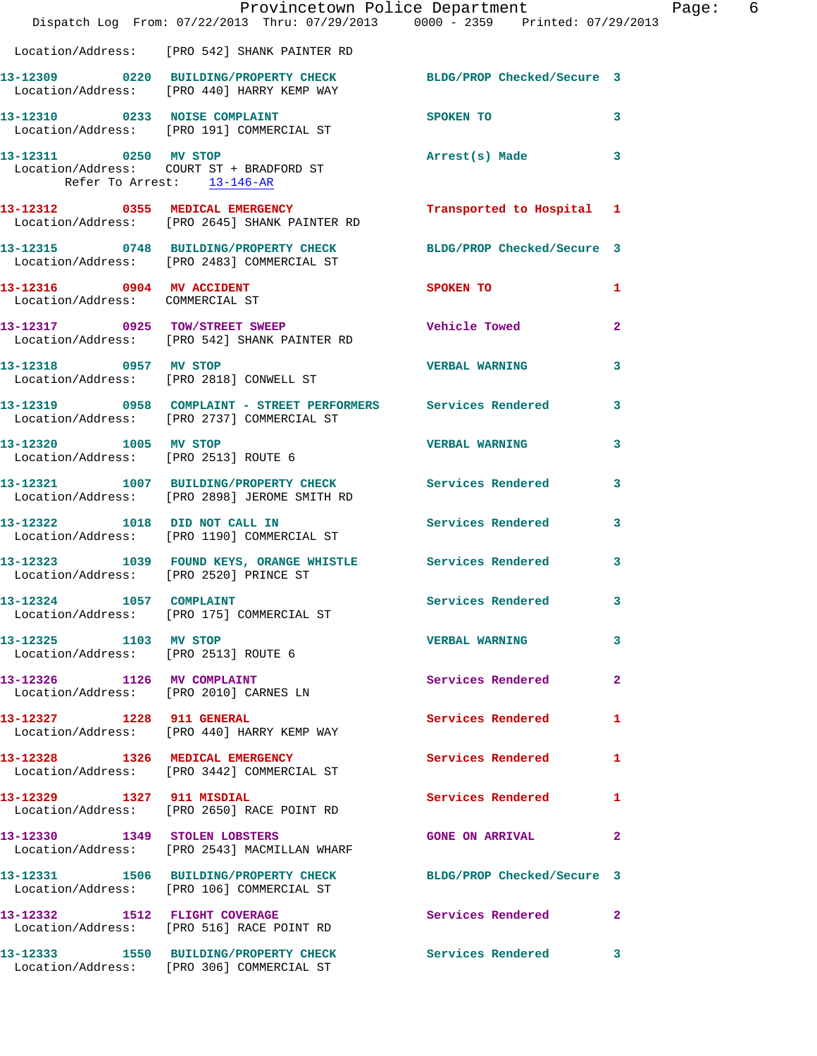|                                                               | Dispatch Log From: 07/22/2013 Thru: 07/29/2013 0000 - 2359 Printed: 07/29/2013                                 | Provincetown Police Department Page: 6 |                         |  |
|---------------------------------------------------------------|----------------------------------------------------------------------------------------------------------------|----------------------------------------|-------------------------|--|
|                                                               | Location/Address: [PRO 542] SHANK PAINTER RD                                                                   |                                        |                         |  |
|                                                               | 13-12309 0220 BUILDING/PROPERTY CHECK BLDG/PROP Checked/Secure 3<br>Location/Address: [PRO 440] HARRY KEMP WAY |                                        |                         |  |
|                                                               | 13-12310 0233 NOISE COMPLAINT SPOKEN TO<br>Location/Address: [PRO 191] COMMERCIAL ST                           | $\sim$ 3                               |                         |  |
| Refer To Arrest: 13-146-AR                                    | 13-12311 0250 MV STOP<br>Location/Address: COURT ST + BRADFORD ST                                              | Arrest(s) Made 3                       |                         |  |
|                                                               | 13-12312 0355 MEDICAL EMERGENCY Transported to Hospital 1<br>Location/Address: [PRO 2645] SHANK PAINTER RD     |                                        |                         |  |
|                                                               | 13-12315 0748 BUILDING/PROPERTY CHECK BLDG/PROP Checked/Secure 3<br>Location/Address: [PRO 2483] COMMERCIAL ST |                                        |                         |  |
|                                                               | 13-12316 0904 MV ACCIDENT<br>Location/Address: COMMERCIAL ST                                                   | <b>SPOKEN TO</b>                       | 1                       |  |
|                                                               | 13-12317 0925 TOW/STREET SWEEP<br>Location/Address: [PRO 542] SHANK PAINTER RD                                 | Vehicle Towed                          | $\overline{2}$          |  |
|                                                               | 13-12318 0957 MV STOP<br>Location/Address: [PRO 2818] CONWELL ST                                               | <b>VERBAL WARNING</b>                  | $\overline{\mathbf{3}}$ |  |
|                                                               | 13-12319 0958 COMPLAINT - STREET PERFORMERS Services Rendered 3<br>Location/Address: [PRO 2737] COMMERCIAL ST  |                                        |                         |  |
| 13-12320 1005 MV STOP                                         | Location/Address: [PRO 2513] ROUTE 6                                                                           | VERBAL WARNING 3                       |                         |  |
|                                                               | 13-12321 1007 BUILDING/PROPERTY CHECK Services Rendered<br>Location/Address: [PRO 2898] JEROME SMITH RD        |                                        | 3                       |  |
|                                                               | 13-12322 1018 DID NOT CALL IN Services Rendered 3<br>Location/Address: [PRO 1190] COMMERCIAL ST                |                                        |                         |  |
|                                                               | 13-12323 1039 FOUND KEYS, ORANGE WHISTLE Services Rendered 3<br>Location/Address: [PRO 2520] PRINCE ST         |                                        |                         |  |
|                                                               | 13-12324 1057 COMPLAINT<br>Location/Address: [PRO 175] COMMERCIAL ST                                           | Services Rendered                      | -3                      |  |
| 13-12325 1103 MV STOP<br>Location/Address: [PRO 2513] ROUTE 6 |                                                                                                                | <b>VERBAL WARNING</b>                  | $\mathbf{3}$            |  |
|                                                               | 13-12326 1126 MV COMPLAINT<br>Location/Address: [PRO 2010] CARNES LN                                           | <b>Services Rendered</b>               | $\mathbf{2}$            |  |
|                                                               | 13-12327 1228 911 GENERAL<br>Location/Address: [PRO 440] HARRY KEMP WAY                                        | Services Rendered                      | $\mathbf{1}$            |  |
|                                                               | 13-12328 1326 MEDICAL EMERGENCY<br>Location/Address: [PRO 3442] COMMERCIAL ST                                  | <b>Services Rendered</b> 1             |                         |  |
|                                                               | 13-12329 1327 911 MISDIAL<br>Location/Address: [PRO 2650] RACE POINT RD                                        | Services Rendered 1                    |                         |  |
|                                                               | 13-12330 1349 STOLEN LOBSTERS<br>Location/Address: [PRO 2543] MACMILLAN WHARF                                  | GONE ON ARRIVAL 2                      |                         |  |
|                                                               | 13-12331 1506 BUILDING/PROPERTY CHECK BLDG/PROP Checked/Secure 3<br>Location/Address: [PRO 106] COMMERCIAL ST  |                                        |                         |  |
|                                                               | 13-12332 1512 FLIGHT COVERAGE<br>Location/Address: [PRO 516] RACE POINT RD                                     | Services Rendered 2                    |                         |  |
|                                                               | 13-12333 1550 BUILDING/PROPERTY CHECK Services Rendered 3<br>Location/Address: [PRO 306] COMMERCIAL ST         |                                        |                         |  |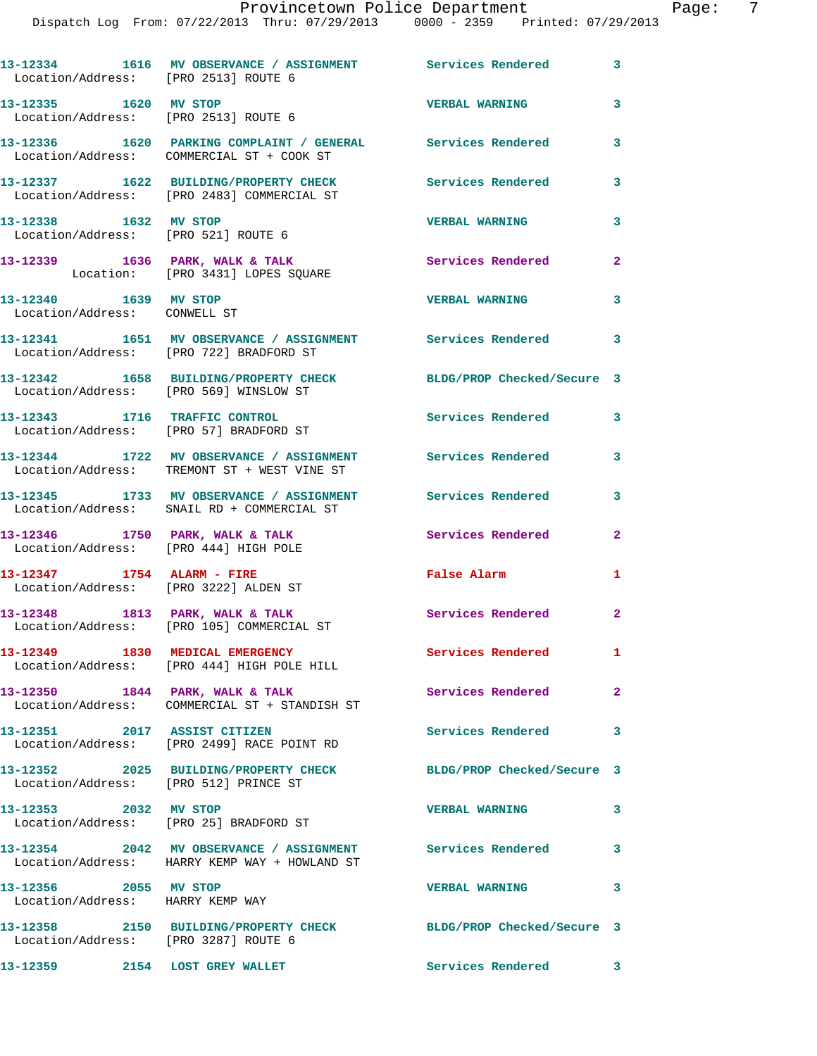| Location/Address: [PRO 2513] ROUTE 6                                     | 13-12334 1616 MV OBSERVANCE / ASSIGNMENT Services Rendered 3                                                |                            |                |
|--------------------------------------------------------------------------|-------------------------------------------------------------------------------------------------------------|----------------------------|----------------|
| 13-12335 1620 MV STOP                                                    | Location/Address: [PRO 2513] ROUTE 6                                                                        | <b>VERBAL WARNING</b>      | 3              |
|                                                                          | 13-12336 1620 PARKING COMPLAINT / GENERAL Services Rendered<br>Location/Address: COMMERCIAL ST + COOK ST    |                            | 3              |
|                                                                          | 13-12337 1622 BUILDING/PROPERTY CHECK<br>Location/Address: [PRO 2483] COMMERCIAL ST                         | Services Rendered          | 3              |
| 13-12338 1632 MV STOP                                                    | Location/Address: [PRO 521] ROUTE 6                                                                         | <b>VERBAL WARNING</b>      | 3              |
|                                                                          | 13-12339 1636 PARK, WALK & TALK<br>Location: [PRO 3431] LOPES SQUARE                                        | Services Rendered          | $\mathbf{2}$   |
| 13-12340 1639 MV STOP<br>Location/Address: CONWELL ST                    |                                                                                                             | <b>VERBAL WARNING</b>      | 3              |
|                                                                          | 13-12341 1651 MV OBSERVANCE / ASSIGNMENT Services Rendered 3<br>Location/Address: [PRO 722] BRADFORD ST     |                            |                |
| Location/Address: [PRO 569] WINSLOW ST                                   | 13-12342 1658 BUILDING/PROPERTY CHECK                                                                       | BLDG/PROP Checked/Secure 3 |                |
|                                                                          | 13-12343 1716 TRAFFIC CONTROL<br>Location/Address: [PRO 57] BRADFORD ST                                     | <b>Services Rendered</b>   | 3              |
|                                                                          | 13-12344 1722 MV OBSERVANCE / ASSIGNMENT Services Rendered<br>Location/Address: TREMONT ST + WEST VINE ST   |                            | 3              |
|                                                                          | 13-12345 1733 MV OBSERVANCE / ASSIGNMENT Services Rendered<br>Location/Address: SNAIL RD + COMMERCIAL ST    |                            | 3              |
| 13-12346 1750 PARK, WALK & TALK<br>Location/Address: [PRO 444] HIGH POLE |                                                                                                             | Services Rendered          | $\mathbf{2}$   |
| 13-12347 1754 ALARM - FIRE<br>Location/Address: [PRO 3222] ALDEN ST      |                                                                                                             | False Alarm                | 1              |
|                                                                          | 13-12348 1813 PARK, WALK & TALK<br>Location/Address: [PRO 105] COMMERCIAL ST                                | Services Rendered          | $\overline{2}$ |
|                                                                          | 13-12349 1830 MEDICAL EMERGENCY<br>Location/Address: [PRO 444] HIGH POLE HILL                               | <b>Services Rendered</b>   | $\mathbf{1}$   |
| 13-12350 1844 PARK, WALK & TALK                                          | Location/Address: COMMERCIAL ST + STANDISH ST                                                               | Services Rendered          | $\mathbf{2}$   |
|                                                                          | 13-12351 2017 ASSIST CITIZEN<br>Location/Address: [PRO 2499] RACE POINT RD                                  | Services Rendered          | 3              |
| Location/Address: [PRO 512] PRINCE ST                                    | 13-12352 2025 BUILDING/PROPERTY CHECK                                                                       | BLDG/PROP Checked/Secure 3 |                |
| 13-12353 2032 MV STOP                                                    | Location/Address: [PRO 25] BRADFORD ST                                                                      | <b>VERBAL WARNING</b>      | 3              |
|                                                                          | 13-12354 2042 MV OBSERVANCE / ASSIGNMENT Services Rendered<br>Location/Address: HARRY KEMP WAY + HOWLAND ST |                            | $\mathbf{3}$   |
| 13-12356 2055 MV STOP<br>Location/Address: HARRY KEMP WAY                |                                                                                                             | <b>VERBAL WARNING</b>      | 3              |
| Location/Address: [PRO 3287] ROUTE 6                                     | 13-12358 2150 BUILDING/PROPERTY CHECK                                                                       | BLDG/PROP Checked/Secure 3 |                |
| 13-12359                                                                 | 2154 LOST GREY WALLET                                                                                       | Services Rendered          | 3              |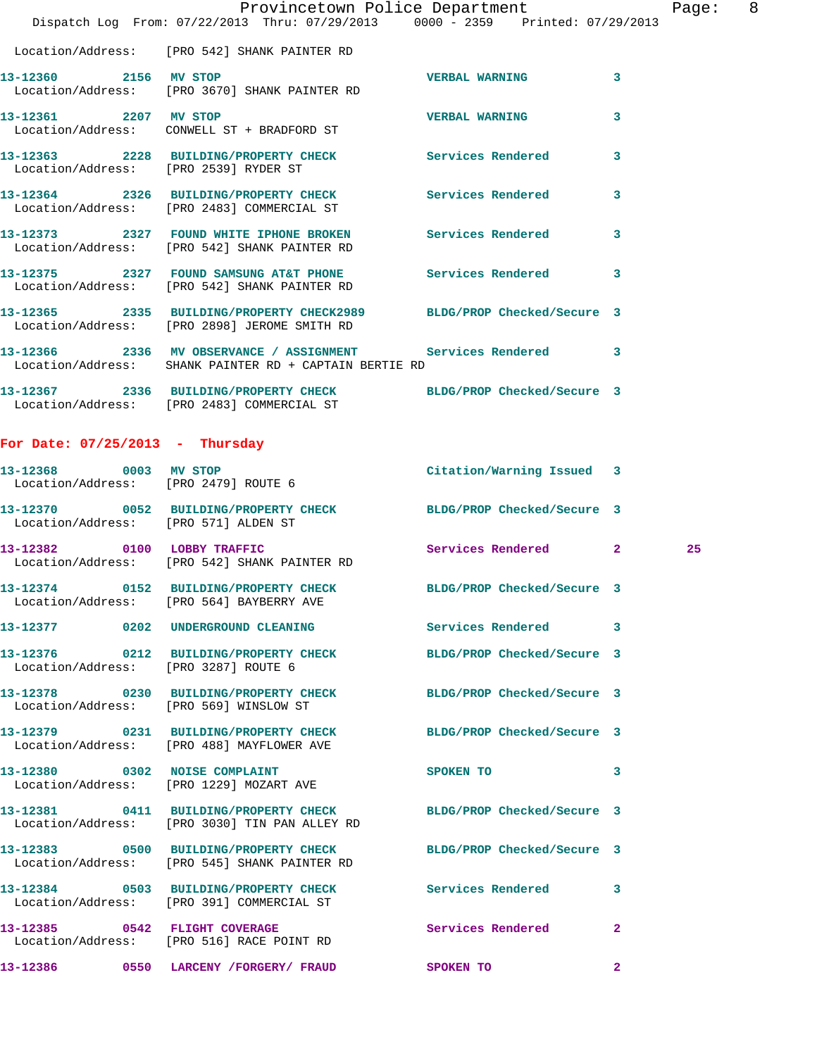|                       | Provincetown Police Department Page: 8<br>Dispatch Log From: 07/22/2013 Thru: 07/29/2013 0000 - 2359 Printed: 07/29/2013 |                       |                         |
|-----------------------|--------------------------------------------------------------------------------------------------------------------------|-----------------------|-------------------------|
|                       | Location/Address: [PRO 542] SHANK PAINTER RD                                                                             |                       |                         |
|                       | 13-12360 2156 MV STOP<br>Location/Address: [PRO 3670] SHANK PAINTER RD                                                   | <b>VERBAL WARNING</b> | 3                       |
| 13-12361 2207 MV STOP | Location/Address: CONWELL ST + BRADFORD ST                                                                               | <b>VERBAL WARNING</b> | $\mathbf{3}$            |
|                       | 13-12363 2228 BUILDING/PROPERTY CHECK Services Rendered<br>Location/Address: [PRO 2539] RYDER ST                         |                       | 3                       |
|                       | 13-12364 2326 BUILDING/PROPERTY CHECK Services Rendered<br>Location/Address: [PRO 2483] COMMERCIAL ST                    |                       | $\overline{\mathbf{3}}$ |
|                       | 13-12373 2327 FOUND WHITE IPHONE BROKEN Services Rendered<br>Location/Address: [PRO 542] SHANK PAINTER RD                |                       | 3                       |
|                       | 13-12375 2327 FOUND SAMSUNG AT&T PHONE Services Rendered 3<br>Location/Address: [PRO 542] SHANK PAINTER RD               |                       |                         |
|                       | 13-12365 2335 BUILDING/PROPERTY CHECK2989 BLDG/PROP Checked/Secure 3<br>Location/Address: [PRO 2898] JEROME SMITH RD     |                       |                         |
|                       | 13-12366 2336 MV OBSERVANCE / ASSIGNMENT Services Rendered 3<br>Location/Address: SHANK PAINTER RD + CAPTAIN BERTIE RD   |                       |                         |
|                       | 13-12367 2336 BUILDING/PROPERTY CHECK BLDG/PROP Checked/Secure 3<br>Location/Address: [PRO 2483] COMMERCIAL ST           |                       |                         |

## **For Date: 07/25/2013 - Thursday**

| 13-12368 0003 MV STOP<br>Location/Address: [PRO 2479] ROUTE 6 |                                                                                                                   | Citation/Warning Issued 3  |                |    |
|---------------------------------------------------------------|-------------------------------------------------------------------------------------------------------------------|----------------------------|----------------|----|
| Location/Address: [PRO 571] ALDEN ST                          | 13-12370 0052 BUILDING/PROPERTY CHECK BLDG/PROP Checked/Secure 3                                                  |                            |                |    |
|                                                               | 13-12382 0100 LOBBY TRAFFIC<br>Location/Address: [PRO 542] SHANK PAINTER RD                                       | Services Rendered 2        |                | 25 |
|                                                               | 13-12374 0152 BUILDING/PROPERTY CHECK BLDG/PROP Checked/Secure 3<br>Location/Address: [PRO 564] BAYBERRY AVE      |                            |                |    |
|                                                               | 13-12377 0202 UNDERGROUND CLEANING                                                                                | Services Rendered 3        |                |    |
| Location/Address: [PRO 3287] ROUTE 6                          | 13-12376 0212 BUILDING/PROPERTY CHECK BLDG/PROP Checked/Secure 3                                                  |                            |                |    |
|                                                               | 13-12378 0230 BUILDING/PROPERTY CHECK BLDG/PROP Checked/Secure 3<br>Location/Address: [PRO 569] WINSLOW ST        |                            |                |    |
|                                                               | 13-12379 0231 BUILDING/PROPERTY CHECK<br>Location/Address: [PRO 488] MAYFLOWER AVE                                | BLDG/PROP Checked/Secure 3 |                |    |
|                                                               | 13-12380 0302 NOISE COMPLAINT<br>Location/Address: [PRO 1229] MOZART AVE                                          | SPOKEN TO                  | 3              |    |
|                                                               | 13-12381 0411 BUILDING/PROPERTY CHECK BLDG/PROP Checked/Secure 3<br>Location/Address: [PRO 3030] TIN PAN ALLEY RD |                            |                |    |
|                                                               | Location/Address: [PRO 545] SHANK PAINTER RD                                                                      | BLDG/PROP Checked/Secure 3 |                |    |
|                                                               | 13-12384 0503 BUILDING/PROPERTY CHECK Services Rendered<br>Location/Address: [PRO 391] COMMERCIAL ST              |                            | 3              |    |
|                                                               | 13-12385 0542 FLIGHT COVERAGE<br>Location/Address: [PRO 516] RACE POINT RD                                        | <b>Services Rendered</b>   | $\mathbf{2}$   |    |
|                                                               | 13-12386 0550 LARCENY / FORGERY / FRAUD                                                                           | <b>SPOKEN TO</b>           | $\overline{2}$ |    |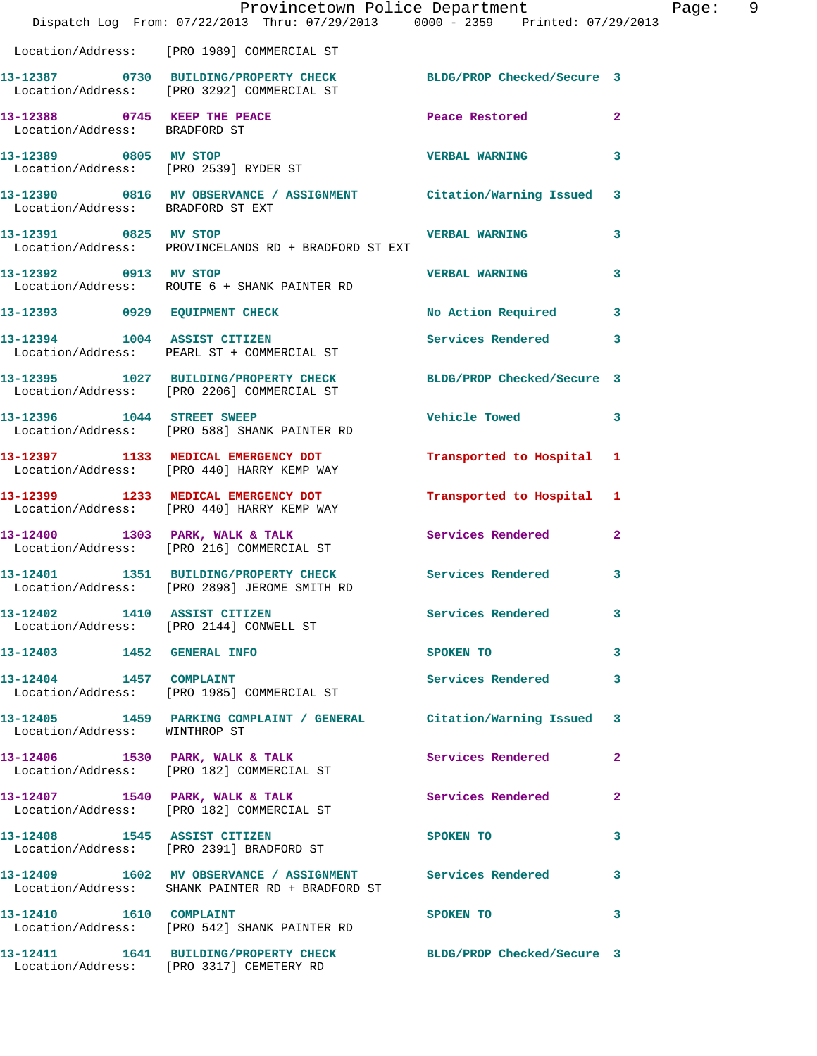|                               | Dispatch Log From: 07/22/2013 Thru: 07/29/2013 0000 - 2359 Printed: 07/29/2013                                 | Provincetown Police Department          | Page: 9      |
|-------------------------------|----------------------------------------------------------------------------------------------------------------|-----------------------------------------|--------------|
|                               | Location/Address: [PRO 1989] COMMERCIAL ST                                                                     |                                         |              |
|                               | 13-12387 0730 BUILDING/PROPERTY CHECK BLDG/PROP Checked/Secure 3<br>Location/Address: [PRO 3292] COMMERCIAL ST |                                         |              |
| Location/Address: BRADFORD ST | 13-12388 0745 KEEP THE PEACE 2008 Peace Restored                                                               |                                         | $\mathbf{2}$ |
| 13-12389 0805 MV STOP         | Location/Address: [PRO 2539] RYDER ST                                                                          | VERBAL WARNING 3                        |              |
|                               | 13-12390 0816 MV OBSERVANCE / ASSIGNMENT Citation/Warning Issued 3<br>Location/Address: BRADFORD ST EXT        |                                         |              |
| 13-12391 0825 MV STOP         | Location/Address: PROVINCELANDS RD + BRADFORD ST EXT                                                           | <b>VERBAL WARNING</b>                   | $\mathbf{3}$ |
|                               | 13-12392 0913 MV STOP<br>Location/Address: ROUTE 6 + SHANK PAINTER RD                                          | <b>VERBAL WARNING</b>                   | 3            |
|                               | 13-12393 0929 EQUIPMENT CHECK No Action Required 3                                                             |                                         |              |
|                               | 13-12394 1004 ASSIST CITIZEN<br>Location/Address: PEARL ST + COMMERCIAL ST                                     | Services Rendered 3                     |              |
|                               | 13-12395 1027 BUILDING/PROPERTY CHECK BLDG/PROP Checked/Secure 3<br>Location/Address: [PRO 2206] COMMERCIAL ST |                                         |              |
|                               | 13-12396    1044    STREET SWEEP<br>Location/Address: [PRO 588] SHANK PAINTER RD                               | Vehicle Towed <b>Seat 1996</b>          | $\mathbf{3}$ |
|                               | 13-12397 1133 MEDICAL EMERGENCY DOT<br>Location/Address: [PRO 440] HARRY KEMP WAY                              | Transported to Hospital 1               |              |
|                               | 13-12399 1233 MEDICAL EMERGENCY DOT<br>Location/Address: [PRO 440] HARRY KEMP WAY                              | Transported to Hospital 1               |              |
|                               | 13-12400 1303 PARK, WALK & TALK<br>Location/Address: [PRO 216] COMMERCIAL ST                                   | Services Rendered 2                     |              |
|                               | 13-12401 1351 BUILDING/PROPERTY CHECK Services Rendered 3<br>Location/Address: [PRO 2898] JEROME SMITH RD      |                                         |              |
|                               | 13-12402 1410 ASSIST CITIZEN<br>Location/Address: [PRO 2144] CONWELL ST                                        | Services Rendered 3                     |              |
| 13-12403 1452 GENERAL INFO    |                                                                                                                | SPOKEN TO DESCRIPTION OF REAL PROPERTY. | 3            |
| 13-12404 1457 COMPLAINT       | Location/Address: [PRO 1985] COMMERCIAL ST                                                                     | Services Rendered                       | 3            |
| Location/Address: WINTHROP ST | 13-12405 1459 PARKING COMPLAINT / GENERAL Citation/Warning Issued 3                                            |                                         |              |
|                               | 13-12406 1530 PARK, WALK & TALK<br>Location/Address: [PRO 182] COMMERCIAL ST                                   | Services Rendered 2                     |              |
|                               | 13-12407 1540 PARK, WALK & TALK<br>Location/Address: [PRO 182] COMMERCIAL ST                                   | Services Rendered                       | $\mathbf{2}$ |
| 13-12408 1545 ASSIST CITIZEN  | Location/Address: [PRO 2391] BRADFORD ST                                                                       | SPOKEN TO DESCRIPTION OF REAL PROPERTY. | 3            |
|                               | 13-12409 1602 MV OBSERVANCE / ASSIGNMENT<br>Location/Address: SHANK PAINTER RD + BRADFORD ST                   | <b>Services Rendered</b>                | 3            |
| 13-12410   1610   COMPLAINT   | Location/Address: [PRO 542] SHANK PAINTER RD                                                                   | SPOKEN TO                               | 3            |
|                               | 13-12411 1641 BUILDING/PROPERTY CHECK BLDG/PROP Checked/Secure 3<br>Location/Address: [PRO 3317] CEMETERY RD   |                                         |              |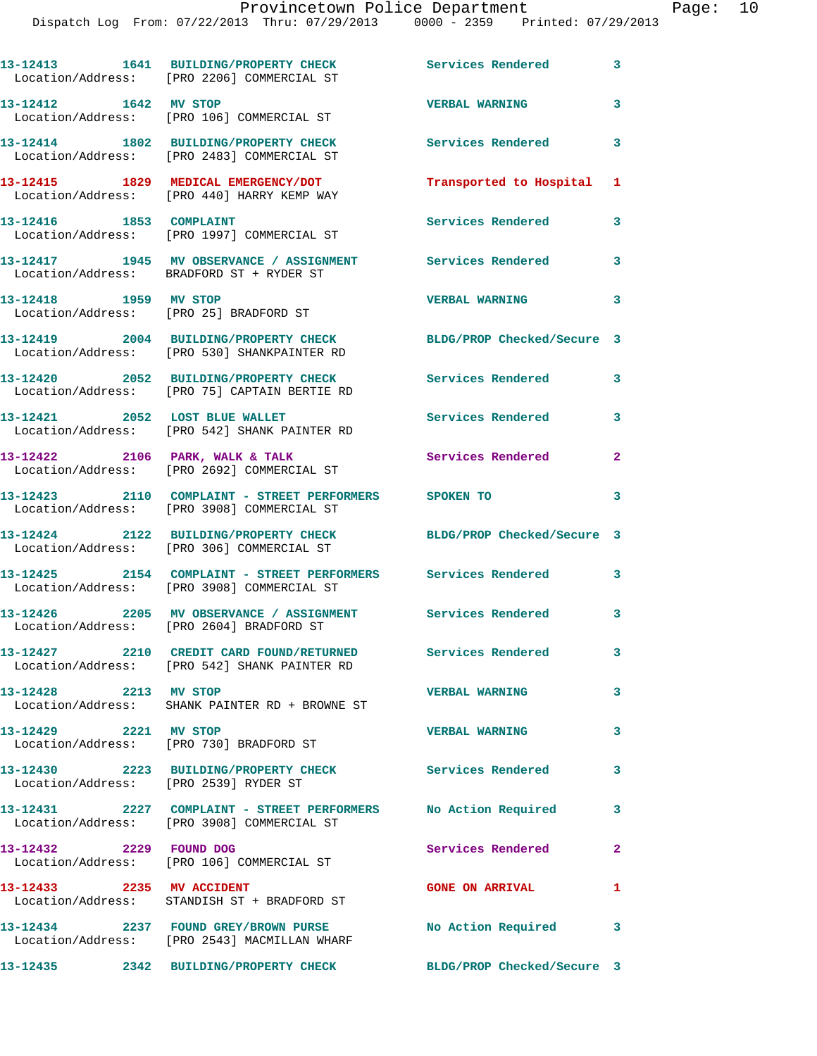|                                       | 13-12413 1641 BUILDING/PROPERTY CHECK<br>Location/Address: [PRO 2206] COMMERCIAL ST                               | Services Rendered          | 3            |
|---------------------------------------|-------------------------------------------------------------------------------------------------------------------|----------------------------|--------------|
| 13-12412 1642 MV STOP                 | Location/Address: [PRO 106] COMMERCIAL ST                                                                         | <b>VERBAL WARNING</b>      | 3            |
|                                       | 13-12414 1802 BUILDING/PROPERTY CHECK<br>Location/Address: [PRO 2483] COMMERCIAL ST                               | <b>Services Rendered</b>   | 3            |
|                                       | 13-12415 1829 MEDICAL EMERGENCY/DOT<br>Location/Address: [PRO 440] HARRY KEMP WAY                                 | Transported to Hospital    | 1            |
| 13-12416 1853 COMPLAINT               | Location/Address: [PRO 1997] COMMERCIAL ST                                                                        | Services Rendered          | 3            |
|                                       | 13-12417 1945 MV OBSERVANCE / ASSIGNMENT Services Rendered<br>Location/Address: BRADFORD ST + RYDER ST            |                            | 3            |
| 13-12418 1959 MV STOP                 | Location/Address: [PRO 25] BRADFORD ST                                                                            | <b>VERBAL WARNING</b>      | 3            |
|                                       | 13-12419 2004 BUILDING/PROPERTY CHECK BLDG/PROP Checked/Secure 3<br>Location/Address: [PRO 530] SHANKPAINTER RD   |                            |              |
|                                       | 13-12420 2052 BUILDING/PROPERTY CHECK<br>Location/Address: [PRO 75] CAPTAIN BERTIE RD                             | <b>Services Rendered</b>   | 3            |
|                                       | 13-12421 2052 LOST BLUE WALLET<br>Location/Address: [PRO 542] SHANK PAINTER RD                                    | <b>Services Rendered</b>   | 3            |
| 13-12422 2106 PARK, WALK & TALK       | Location/Address: [PRO 2692] COMMERCIAL ST                                                                        | Services Rendered          | 2            |
|                                       | 13-12423 2110 COMPLAINT - STREET PERFORMERS SPOKEN TO<br>Location/Address: [PRO 3908] COMMERCIAL ST               |                            | 3            |
|                                       | 13-12424 2122 BUILDING/PROPERTY CHECK<br>Location/Address: [PRO 306] COMMERCIAL ST                                | BLDG/PROP Checked/Secure 3 |              |
|                                       | 13-12425   2154   COMPLAINT - STREET PERFORMERS   Services Rendered<br>Location/Address: [PRO 3908] COMMERCIAL ST |                            | 3            |
|                                       | 13-12426 2205 MV OBSERVANCE / ASSIGNMENT Services Rendered<br>Location/Address: [PRO 2604] BRADFORD ST            |                            | 3            |
|                                       | 13-12427 2210 CREDIT CARD FOUND/RETURNED<br>Location/Address: [PRO 542] SHANK PAINTER RD                          | <b>Services Rendered</b>   | 3            |
| 13-12428 2213 MV STOP                 | Location/Address: SHANK PAINTER RD + BROWNE ST                                                                    | <b>VERBAL WARNING</b>      | 3            |
| 13-12429 2221 MV STOP                 | Location/Address: [PRO 730] BRADFORD ST                                                                           | <b>VERBAL WARNING</b>      | 3            |
| Location/Address: [PRO 2539] RYDER ST | 13-12430 2223 BUILDING/PROPERTY CHECK Services Rendered                                                           |                            | 3            |
|                                       | 13-12431 2227 COMPLAINT - STREET PERFORMERS<br>Location/Address: [PRO 3908] COMMERCIAL ST                         | No Action Required         | 3            |
| 13-12432 2229 FOUND DOG               | Location/Address: [PRO 106] COMMERCIAL ST                                                                         | Services Rendered          | $\mathbf{2}$ |
| 13-12433 2235 MV ACCIDENT             | Location/Address: STANDISH ST + BRADFORD ST                                                                       | <b>GONE ON ARRIVAL</b>     | 1            |
|                                       | 13-12434 2237 FOUND GREY/BROWN PURSE<br>Location/Address: [PRO 2543] MACMILLAN WHARF                              | No Action Required         | 3            |
|                                       | 13-12435 2342 BUILDING/PROPERTY CHECK                                                                             | BLDG/PROP Checked/Secure 3 |              |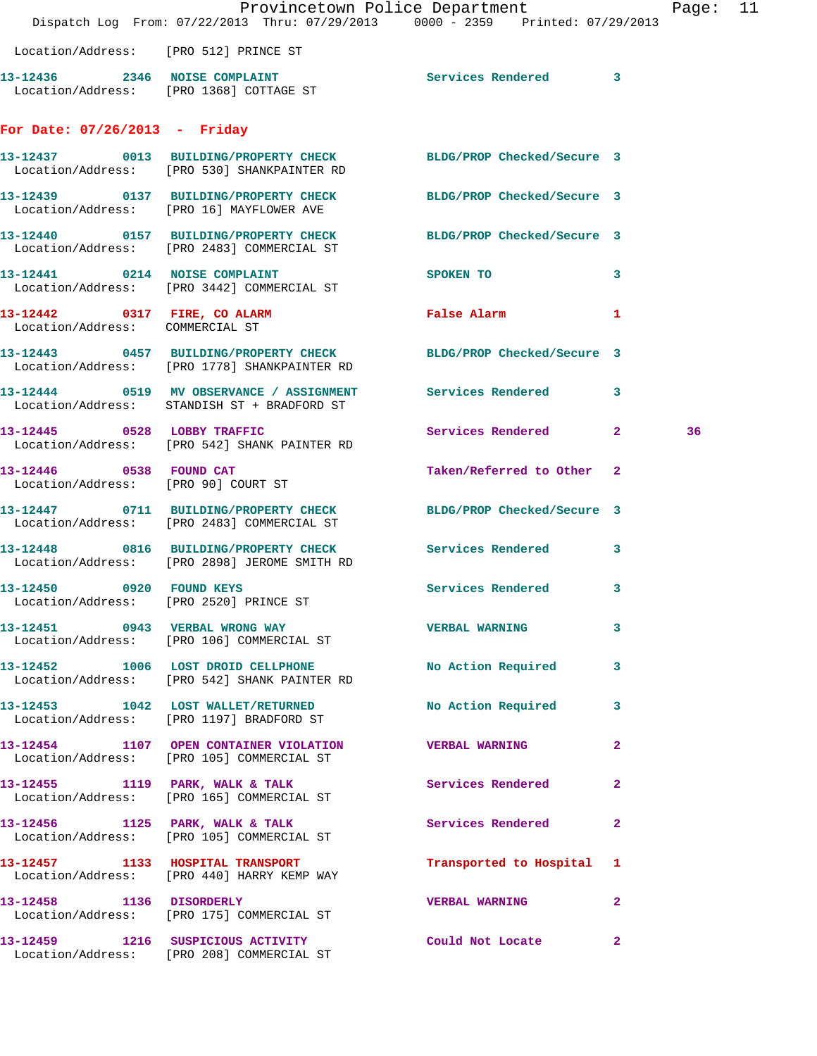|                                                                | Provincetown Police Department<br>Dispatch Log From: 07/22/2013 Thru: 07/29/2013 0000 - 2359 Printed: 07/29/2013    |                           |              | Page: 11 |  |
|----------------------------------------------------------------|---------------------------------------------------------------------------------------------------------------------|---------------------------|--------------|----------|--|
| Location/Address: [PRO 512] PRINCE ST                          |                                                                                                                     |                           |              |          |  |
|                                                                | 13-12436 2346 NOISE COMPLAINT<br>Location/Address: [PRO 1368] COTTAGE ST                                            | Services Rendered 3       |              |          |  |
| For Date: $07/26/2013$ - Friday                                |                                                                                                                     |                           |              |          |  |
|                                                                | 13-12437 0013 BUILDING/PROPERTY CHECK BLDG/PROP Checked/Secure 3<br>Location/Address: [PRO 530] SHANKPAINTER RD     |                           |              |          |  |
|                                                                | 13-12439 0137 BUILDING/PROPERTY CHECK BLDG/PROP Checked/Secure 3<br>Location/Address: [PRO 16] MAYFLOWER AVE        |                           |              |          |  |
|                                                                | 13-12440 0157 BUILDING/PROPERTY CHECK BLDG/PROP Checked/Secure 3<br>Location/Address: [PRO 2483] COMMERCIAL ST      |                           |              |          |  |
|                                                                | 13-12441 0214 NOISE COMPLAINT<br>Location/Address: [PRO 3442] COMMERCIAL ST                                         | SPOKEN TO                 | 3            |          |  |
| Location/Address: COMMERCIAL ST                                | 13-12442 0317 FIRE, CO ALARM                                                                                        | False Alarm               | 1            |          |  |
|                                                                | 13-12443 0457 BUILDING/PROPERTY CHECK BLDG/PROP Checked/Secure 3<br>Location/Address: [PRO 1778] SHANKPAINTER RD    |                           |              |          |  |
|                                                                | 13-12444 0519 MV OBSERVANCE / ASSIGNMENT Services Rendered 3<br>Location/Address: STANDISH ST + BRADFORD ST         |                           |              |          |  |
|                                                                | 13-12445 0528 LOBBY TRAFFIC<br>Location/Address: [PRO 542] SHANK PAINTER RD                                         | Services Rendered 2       |              | 36       |  |
| 13-12446 0538 FOUND CAT<br>Location/Address: [PRO 90] COURT ST |                                                                                                                     | Taken/Referred to Other 2 |              |          |  |
|                                                                | 13-12447 0711 BUILDING/PROPERTY CHECK BLDG/PROP Checked/Secure 3<br>Location/Address: [PRO 2483] COMMERCIAL ST      |                           |              |          |  |
|                                                                | 13-12448 0816 BUILDING/PROPERTY CHECK Services Rendered<br>Location/Address: [PRO 2898] JEROME SMITH RD             |                           | 3            |          |  |
| 13-12450 0920 FOUND KEYS                                       | Location/Address: [PRO 2520] PRINCE ST                                                                              | Services Rendered 3       |              |          |  |
|                                                                | 13-12451 0943 VERBAL WRONG WAY NERBAL WARNING<br>Location/Address: [PRO 106] COMMERCIAL ST                          |                           | 3            |          |  |
|                                                                | 13-12452 1006 LOST DROID CELLPHONE No Action Required 3<br>Location/Address: [PRO 542] SHANK PAINTER RD             |                           |              |          |  |
|                                                                | 13-12453 1042 LOST WALLET/RETURNED No Action Required<br>Location/Address: [PRO 1197] BRADFORD ST                   |                           | 3            |          |  |
|                                                                | 13-12454 1107 OPEN CONTAINER VIOLATION<br>Location/Address: [PRO 105] COMMERCIAL ST                                 | <b>VERBAL WARNING</b>     | $\mathbf{2}$ |          |  |
|                                                                | 13-12455 1119 PARK, WALK & TALK<br>Location/Address: [PRO 165] COMMERCIAL ST                                        | <b>Services Rendered</b>  | $\mathbf{2}$ |          |  |
|                                                                | $13-12456$ 1125 PARK, WALK & TALK<br>Location/Address: [PRO 105] COMMERCIAL ST                                      | Services Rendered 2       |              |          |  |
|                                                                | 13-12457 1133 HOSPITAL TRANSPORT <b>120 Transported</b> to Hospital 1<br>Location/Address: [PRO 440] HARRY KEMP WAY |                           |              |          |  |
|                                                                | 13-12458 1136 DISORDERLY<br>Location/Address: [PRO 175] COMMERCIAL ST                                               | <b>VERBAL WARNING 2</b>   |              |          |  |
|                                                                | 13-12459 1216 SUSPICIOUS ACTIVITY<br>Location/Address: [PRO 208] COMMERCIAL ST                                      | Could Not Locate          | $\mathbf{2}$ |          |  |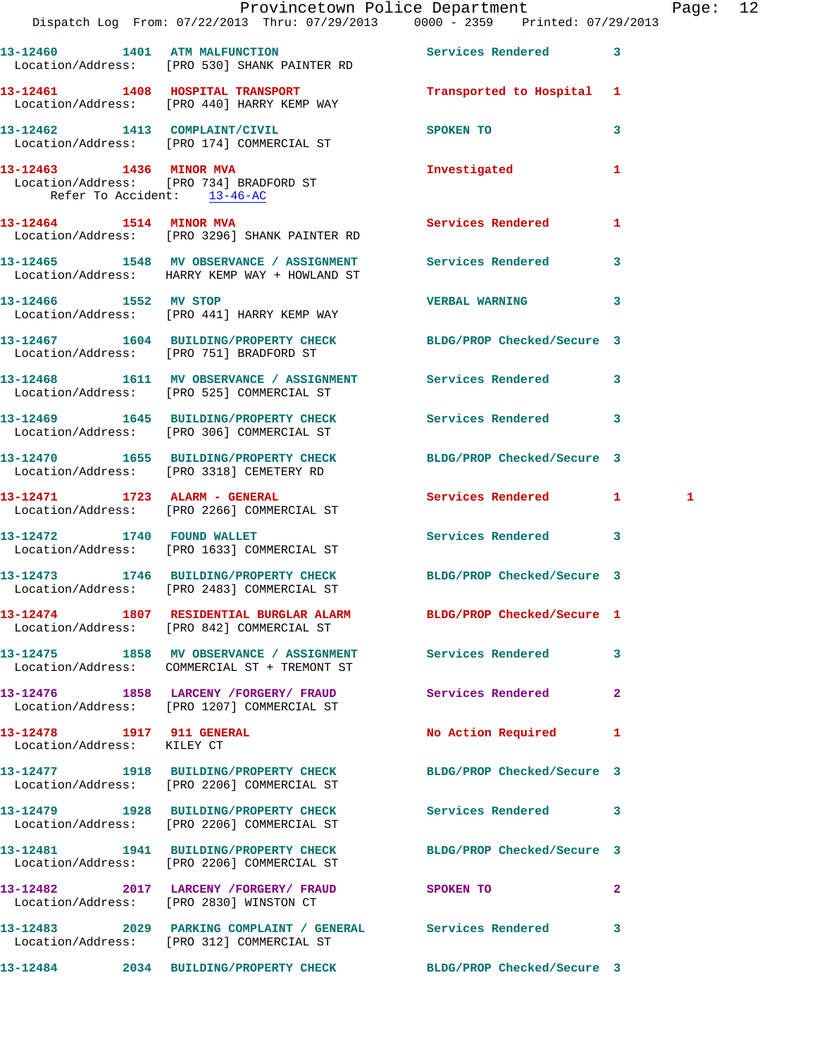|                                                        | Dispatch Log From: 07/22/2013 Thru: 07/29/2013 0000 - 2359 Printed: 07/29/2013                                  | Provincetown Police Department Page: 12 |              |  |
|--------------------------------------------------------|-----------------------------------------------------------------------------------------------------------------|-----------------------------------------|--------------|--|
|                                                        | 13-12460 1401 ATM MALFUNCTION Services Rendered 3<br>Location/Address: [PRO 530] SHANK PAINTER RD               |                                         |              |  |
|                                                        | 13-12461 1408 HOSPITAL TRANSPORT 1 Transported to Hospital 1<br>Location/Address: [PRO 440] HARRY KEMP WAY      |                                         |              |  |
|                                                        | 13-12462 1413 COMPLAINT/CIVIL<br>Location/Address: [PRO 174] COMMERCIAL ST                                      | SPOKEN TO                               | 3            |  |
| 13-12463 1436 MINOR MVA<br>Refer To Accident: 13-46-AC | Location/Address: [PRO 734] BRADFORD ST                                                                         | Investigated                            | 1.           |  |
|                                                        | 13-12464 1514 MINOR MVA Services Rendered 1<br>Location/Address: [PRO 3296] SHANK PAINTER RD                    |                                         |              |  |
|                                                        | 13-12465 1548 MV OBSERVANCE / ASSIGNMENT Services Rendered<br>Location/Address: HARRY KEMP WAY + HOWLAND ST     |                                         | $\mathbf{3}$ |  |
| 13-12466 1552 MV STOP                                  | Location/Address: [PRO 441] HARRY KEMP WAY                                                                      | VERBAL WARNING 3                        |              |  |
|                                                        | 13-12467 1604 BUILDING/PROPERTY CHECK BLDG/PROP Checked/Secure 3<br>Location/Address: [PRO 751] BRADFORD ST     |                                         |              |  |
|                                                        | 13-12468 1611 MV OBSERVANCE / ASSIGNMENT Services Rendered 3<br>Location/Address: [PRO 525] COMMERCIAL ST       |                                         |              |  |
|                                                        | 13-12469 1645 BUILDING/PROPERTY CHECK Services Rendered 3<br>Location/Address: [PRO 306] COMMERCIAL ST          |                                         |              |  |
|                                                        | 13-12470 1655 BUILDING/PROPERTY CHECK BLDG/PROP Checked/Secure 3<br>Location/Address: [PRO 3318] CEMETERY RD    |                                         |              |  |
|                                                        | 13-12471 1723 ALARM - GENERAL<br>Location/Address: [PRO 2266] COMMERCIAL ST                                     | Services Rendered 1 1 1                 |              |  |
|                                                        | 13-12472 1740 FOUND WALLET<br>Location/Address: [PRO 1633] COMMERCIAL ST                                        | Services Rendered                       | $\mathbf{3}$ |  |
|                                                        | 13-12473 1746 BUILDING/PROPERTY CHECK<br>Location/Address: [PRO 2483] COMMERCIAL ST                             | BLDG/PROP Checked/Secure 3              |              |  |
|                                                        | 13-12474 1807 RESIDENTIAL BURGLAR ALARM BLDG/PROP Checked/Secure 1<br>Location/Address: [PRO 842] COMMERCIAL ST |                                         |              |  |
|                                                        | 13-12475 1858 MV OBSERVANCE / ASSIGNMENT Services Rendered 3<br>Location/Address: COMMERCIAL ST + TREMONT ST    |                                         |              |  |
|                                                        | 13-12476 1858 LARCENY /FORGERY/ FRAUD Services Rendered 2<br>Location/Address: [PRO 1207] COMMERCIAL ST         |                                         |              |  |
| Location/Address: KILEY CT                             | 13-12478 1917 911 GENERAL                                                                                       | No Action Required 1                    |              |  |
|                                                        | 13-12477 1918 BUILDING/PROPERTY CHECK BLDG/PROP Checked/Secure 3<br>Location/Address: [PRO 2206] COMMERCIAL ST  |                                         |              |  |
|                                                        | 13-12479 1928 BUILDING/PROPERTY CHECK Services Rendered 3<br>Location/Address: [PRO 2206] COMMERCIAL ST         |                                         |              |  |
|                                                        | 13-12481 1941 BUILDING/PROPERTY CHECK BLDG/PROP Checked/Secure 3<br>Location/Address: [PRO 2206] COMMERCIAL ST  |                                         |              |  |
|                                                        | 13-12482 2017 LARCENY / FORGERY / FRAUD SPOKEN TO<br>Location/Address: [PRO 2830] WINSTON CT                    |                                         | $\mathbf{2}$ |  |
|                                                        | 13-12483 2029 PARKING COMPLAINT / GENERAL Services Rendered<br>Location/Address: [PRO 312] COMMERCIAL ST        |                                         | 3            |  |
|                                                        | 13-12484 2034 BUILDING/PROPERTY CHECK BLDG/PROP Checked/Secure 3                                                |                                         |              |  |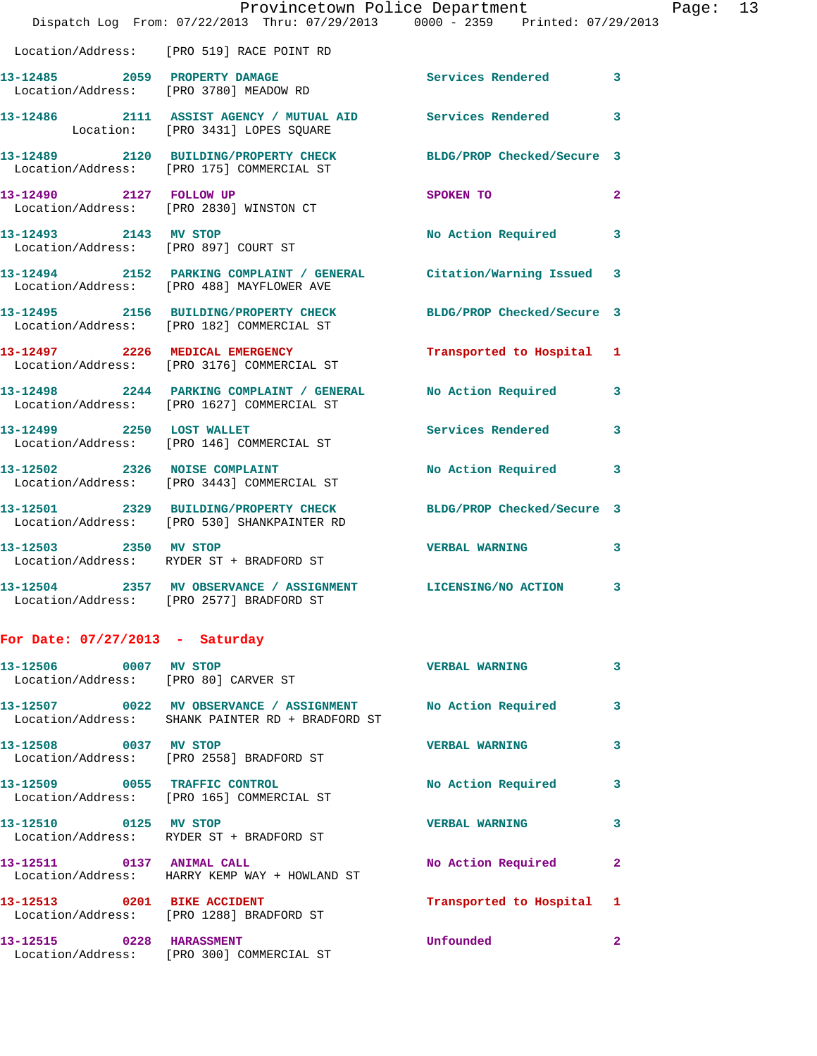|                                   | Provincetown Police Department                                                                                  |                           |                |
|-----------------------------------|-----------------------------------------------------------------------------------------------------------------|---------------------------|----------------|
|                                   | Dispatch Log From: 07/22/2013 Thru: 07/29/2013 0000 - 2359 Printed: 07/29/2013                                  |                           |                |
|                                   | Location/Address: [PRO 519] RACE POINT RD                                                                       |                           |                |
|                                   | 13-12485 2059 PROPERTY DAMAGE<br>Location/Address: [PRO 3780] MEADOW RD                                         | Services Rendered         | 3              |
|                                   | 13-12486 2111 ASSIST AGENCY / MUTUAL AID Services Rendered<br>Location: [PRO 3431] LOPES SQUARE                 |                           | 3              |
|                                   | 13-12489 2120 BUILDING/PROPERTY CHECK BLDG/PROP Checked/Secure 3<br>Location/Address: [PRO 175] COMMERCIAL ST   |                           |                |
| 13-12490 2127 FOLLOW UP           | Location/Address: [PRO 2830] WINSTON CT                                                                         | SPOKEN TO                 | $\overline{a}$ |
| 13-12493 2143 MV STOP             | Location/Address: [PRO 897] COURT ST                                                                            | No Action Required        | 3              |
|                                   | 13-12494 2152 PARKING COMPLAINT / GENERAL Citation/Warning Issued<br>Location/Address: [PRO 488] MAYFLOWER AVE  |                           | 3              |
|                                   | 13-12495 2156 BUILDING/PROPERTY CHECK BLDG/PROP Checked/Secure 3<br>Location/Address: [PRO 182] COMMERCIAL ST   |                           |                |
|                                   | 13-12497 2226 MEDICAL EMERGENCY<br>Location/Address: [PRO 3176] COMMERCIAL ST                                   | Transported to Hospital   | 1              |
|                                   | 13-12498 2244 PARKING COMPLAINT / GENERAL No Action Required<br>Location/Address: [PRO 1627] COMMERCIAL ST      |                           | 3              |
| 13-12499 2250 LOST WALLET         | Location/Address: [PRO 146] COMMERCIAL ST                                                                       | <b>Services Rendered</b>  | 3              |
|                                   | 13-12502 2326 NOISE COMPLAINT<br>Location/Address: [PRO 3443] COMMERCIAL ST                                     | <b>No Action Required</b> | 3              |
|                                   | 13-12501 2329 BUILDING/PROPERTY CHECK BLDG/PROP Checked/Secure 3<br>Location/Address: [PRO 530] SHANKPAINTER RD |                           |                |
| 13-12503 2350 MV STOP             | Location/Address: RYDER ST + BRADFORD ST                                                                        | <b>VERBAL WARNING</b>     | 3              |
|                                   | 13-12504 2357 MV OBSERVANCE / ASSIGNMENT LICENSING/NO ACTION<br>Location/Address: [PRO 2577] BRADFORD ST        |                           | 3              |
| For Date: $07/27/2013$ - Saturday |                                                                                                                 |                           |                |

| 13-12506 0007<br>Location/Address: [PRO 80] CARVER ST | MV STOP                                                    | <b>VERBAL WARNING</b>     | 3                       |
|-------------------------------------------------------|------------------------------------------------------------|---------------------------|-------------------------|
|                                                       | Location/Address: SHANK PAINTER RD + BRADFORD ST           | No Action Required        | $\overline{3}$          |
| 13-12508 0037                                         | MV STOP<br>Location/Address: [PRO 2558] BRADFORD ST        | <b>VERBAL WARNING</b>     | 3                       |
| 13-12509 0055 TRAFFIC CONTROL                         | Location/Address: [PRO 165] COMMERCIAL ST                  | No Action Required        | 3                       |
| 13-12510 0125                                         | <b>MV STOP</b><br>Location/Address: RYDER ST + BRADFORD ST | <b>VERBAL WARNING</b>     | $\overline{\mathbf{3}}$ |
| 13-12511 0137 ANIMAL CALL                             | Location/Address: HARRY KEMP WAY + HOWLAND ST              | No Action Required        | $\mathbf{2}$            |
| Location/Address:                                     | [PRO 1288] BRADFORD ST                                     | Transported to Hospital 1 |                         |
| 13-12515 0228<br>Location/Address:                    | <b>HARASSMENT</b><br>[PRO 300] COMMERCIAL ST               | Unfounded                 | $\overline{2}$          |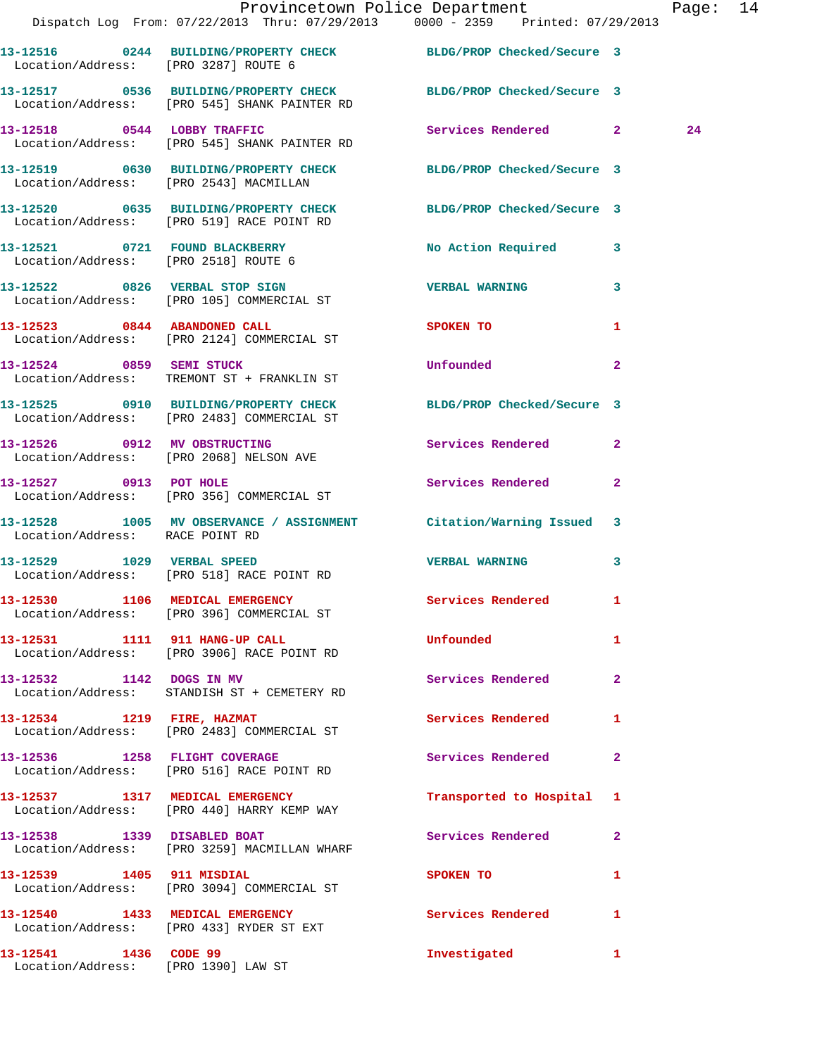|                                                              | Provincetown Police Department Page: 14<br>Dispatch Log From: 07/22/2013 Thru: 07/29/2013 0000 - 2359 Printed: 07/29/2013 |                                            |    |
|--------------------------------------------------------------|---------------------------------------------------------------------------------------------------------------------------|--------------------------------------------|----|
| Location/Address: [PRO 3287] ROUTE 6                         | 13-12516 0244 BUILDING/PROPERTY CHECK BLDG/PROP Checked/Secure 3                                                          |                                            |    |
|                                                              | 13-12517 0536 BUILDING/PROPERTY CHECK BLDG/PROP Checked/Secure 3<br>Location/Address: [PRO 545] SHANK PAINTER RD          |                                            |    |
|                                                              | 13-12518 0544 LOBBY TRAFFIC<br>Location/Address: [PRO 545] SHANK PAINTER RD                                               | Services Rendered 2                        | 24 |
|                                                              | 13-12519 0630 BUILDING/PROPERTY CHECK BLDG/PROP Checked/Secure 3<br>Location/Address: [PRO 2543] MACMILLAN                |                                            |    |
|                                                              | 13-12520 0635 BUILDING/PROPERTY CHECK BLDG/PROP Checked/Secure 3<br>Location/Address: [PRO 519] RACE POINT RD             |                                            |    |
| Location/Address: [PRO 2518] ROUTE 6                         | 13-12521 0721 FOUND BLACKBERRY                                                                                            | No Action Required 3                       |    |
|                                                              | 13-12522 0826 VERBAL STOP SIGN<br>Location/Address: [PRO 105] COMMERCIAL ST                                               | <b>VERBAL WARNING</b><br>$\mathbf{3}$      |    |
|                                                              | 13-12523 0844 ABANDONED CALL<br>Location/Address: [PRO 2124] COMMERCIAL ST                                                | <b>SPOKEN TO</b><br>1                      |    |
|                                                              | 13-12524 0859 SEMI STUCK<br>Location/Address: TREMONT ST + FRANKLIN ST                                                    | <b>Unfounded</b><br>$\overline{2}$         |    |
|                                                              | 13-12525 0910 BUILDING/PROPERTY CHECK BLDG/PROP Checked/Secure 3<br>Location/Address: [PRO 2483] COMMERCIAL ST            |                                            |    |
|                                                              | 13-12526 0912 MV OBSTRUCTING<br>Location/Address: [PRO 2068] NELSON AVE                                                   | Services Rendered 2                        |    |
|                                                              | 13-12527 0913 POT HOLE<br>Location/Address: [PRO 356] COMMERCIAL ST                                                       | Services Rendered<br>$\mathbf{2}$          |    |
| Location/Address: RACE POINT RD                              | 13-12528 1005 MV OBSERVANCE / ASSIGNMENT Citation/Warning Issued 3                                                        |                                            |    |
|                                                              | 13-12529 1029 VERBAL SPEED<br>Location/Address: [PRO 518] RACE POINT RD                                                   | <b>VERBAL WARNING</b><br>3                 |    |
|                                                              | 13-12530 1106 MEDICAL EMERGENCY<br>Location/Address: [PRO 396] COMMERCIAL ST                                              | Services Rendered 1                        |    |
|                                                              | 13-12531 1111 911 HANG-UP CALL<br>Location/Address: [PRO 3906] RACE POINT RD                                              | <b>Unfounded</b><br>$\mathbf{1}$           |    |
|                                                              | 13-12532 1142 DOGS IN MV<br>Location/Address: STANDISH ST + CEMETERY RD                                                   | <b>Services Rendered</b><br>$\overline{2}$ |    |
|                                                              | 13-12534 1219 FIRE, HAZMAT<br>Location/Address: [PRO 2483] COMMERCIAL ST                                                  | Services Rendered<br>1                     |    |
|                                                              | 13-12536 1258 FLIGHT COVERAGE<br>Location/Address: [PRO 516] RACE POINT RD                                                | Services Rendered 2                        |    |
|                                                              | 13-12537 1317 MEDICAL EMERGENCY<br>Location/Address: [PRO 440] HARRY KEMP WAY                                             | Transported to Hospital 1                  |    |
| 13-12538 1339 DISABLED BOAT                                  | Location/Address: [PRO 3259] MACMILLAN WHARF                                                                              | Services Rendered 2                        |    |
|                                                              | 13-12539 1405 911 MISDIAL<br>Location/Address: [PRO 3094] COMMERCIAL ST                                                   | SPOKEN TO AND TO A THE SPOKEN TO<br>1      |    |
|                                                              | 13-12540 1433 MEDICAL EMERGENCY<br>Location/Address: [PRO 433] RYDER ST EXT                                               | Services Rendered 1                        |    |
| 13-12541 1436 CODE 99<br>Location/Address: [PRO 1390] LAW ST |                                                                                                                           | Investigated<br>$\mathbf{1}$               |    |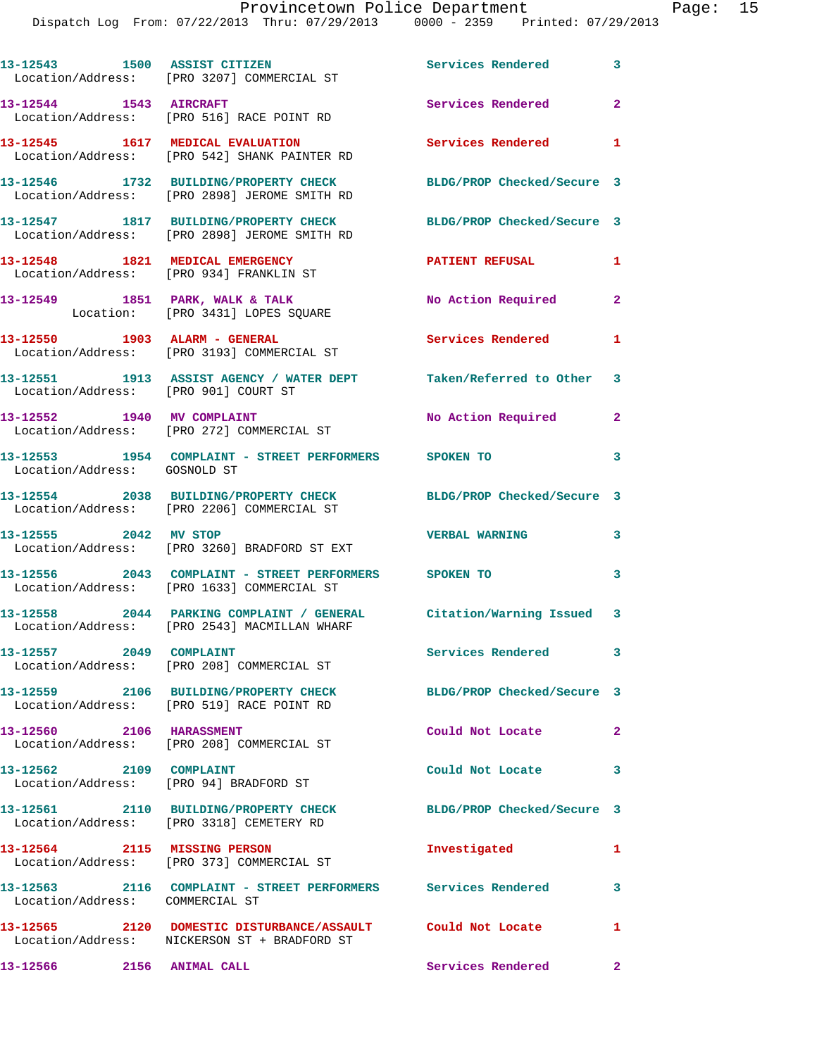| 13-12543 1500 ASSIST CITIZEN         | Location/Address: [PRO 3207] COMMERCIAL ST                                                                          | Services Rendered 3           |                            |
|--------------------------------------|---------------------------------------------------------------------------------------------------------------------|-------------------------------|----------------------------|
|                                      | 13-12544 1543 AIRCRAFT<br>Location/Address: [PRO 516] RACE POINT RD                                                 | Services Rendered 2           |                            |
|                                      | 13-12545 1617 MEDICAL EVALUATION<br>Location/Address: [PRO 542] SHANK PAINTER RD                                    | Services Rendered 1           |                            |
|                                      | 13-12546 1732 BUILDING/PROPERTY CHECK<br>Location/Address: [PRO 2898] JEROME SMITH RD                               | BLDG/PROP Checked/Secure 3    |                            |
|                                      | 13-12547 1817 BUILDING/PROPERTY CHECK<br>Location/Address: [PRO 2898] JEROME SMITH RD                               | BLDG/PROP Checked/Secure 3    |                            |
|                                      | 13-12548 1821 MEDICAL EMERGENCY<br>Location/Address: [PRO 934] FRANKLIN ST                                          | <b>PATIENT REFUSAL</b>        | 1                          |
|                                      | 13-12549 1851 PARK, WALK & TALK<br>Location: [PRO 3431] LOPES SQUARE                                                | No Action Required            | $\mathbf{2}$               |
|                                      | 13-12550 1903 ALARM - GENERAL<br>Location/Address: [PRO 3193] COMMERCIAL ST                                         | Services Rendered             | 1                          |
| Location/Address: [PRO 901] COURT ST | 13-12551 1913 ASSIST AGENCY / WATER DEPT Taken/Referred to Other 3                                                  |                               |                            |
|                                      | 13-12552 1940 MV COMPLAINT<br>Location/Address: [PRO 272] COMMERCIAL ST                                             | No Action Required            | $\mathbf{2}$               |
| Location/Address: GOSNOLD ST         | 13-12553 1954 COMPLAINT - STREET PERFORMERS SPOKEN TO                                                               |                               | 3                          |
|                                      | 13-12554 2038 BUILDING/PROPERTY CHECK BLDG/PROP Checked/Secure 3<br>Location/Address: [PRO 2206] COMMERCIAL ST      |                               |                            |
| 13-12555 2042 MV STOP                | Location/Address: [PRO 3260] BRADFORD ST EXT                                                                        | <b>VERBAL WARNING</b>         | 3                          |
|                                      | 13-12556 2043 COMPLAINT - STREET PERFORMERS SPOKEN TO<br>Location/Address: [PRO 1633] COMMERCIAL ST                 |                               | $\overline{\phantom{a}}$ 3 |
|                                      | 13-12558 2044 PARKING COMPLAINT / GENERAL Citation/Warning Issued 3<br>Location/Address: [PRO 2543] MACMILLAN WHARF |                               |                            |
| 13-12557 2049 COMPLAINT              | Location/Address: [PRO 208] COMMERCIAL ST                                                                           | Services Rendered 3           |                            |
|                                      | 13-12559 2106 BUILDING/PROPERTY CHECK<br>Location/Address: [PRO 519] RACE POINT RD                                  | BLDG/PROP Checked/Secure 3    |                            |
| 13-12560 2106 HARASSMENT             | Location/Address: [PRO 208] COMMERCIAL ST                                                                           | Could Not Locate              | $\mathbf{2}$               |
| 13-12562 2109 COMPLAINT              | Location/Address: [PRO 94] BRADFORD ST                                                                              | Could Not Locate              | 3                          |
|                                      | 13-12561 2110 BUILDING/PROPERTY CHECK<br>Location/Address: [PRO 3318] CEMETERY RD                                   | BLDG/PROP Checked/Secure 3    |                            |
|                                      | 13-12564 2115 MISSING PERSON<br>Location/Address: [PRO 373] COMMERCIAL ST                                           | Investigated                  | 1                          |
| Location/Address: COMMERCIAL ST      | 13-12563 2116 COMPLAINT - STREET PERFORMERS Services Rendered                                                       |                               | $\mathbf{3}$               |
|                                      | 13-12565 2120 DOMESTIC DISTURBANCE/ASSAULT Could Not Locate<br>Location/Address: NICKERSON ST + BRADFORD ST         |                               | 1                          |
| 13-12566 2156 ANIMAL CALL            |                                                                                                                     | Services Rendered<br>$\sim$ 2 |                            |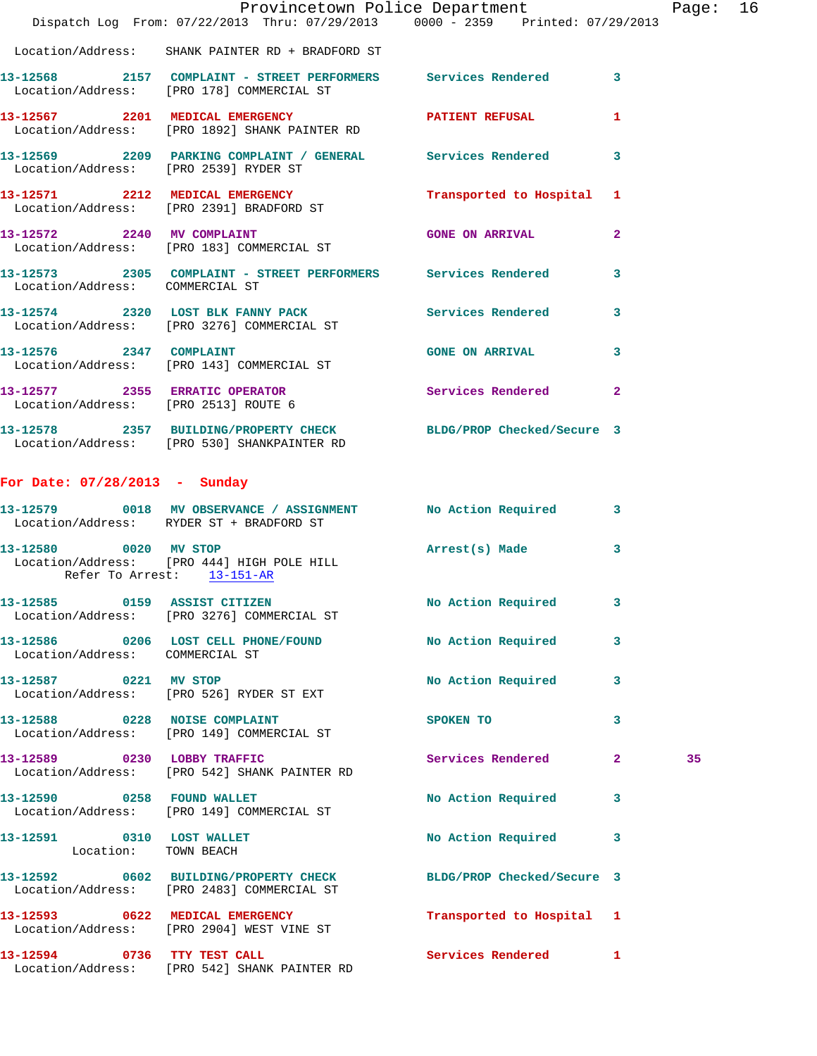|                                                     | Dispatch Log From: 07/22/2013 Thru: 07/29/2013 0000 - 2359 Printed: 07/29/2013                                  | Provincetown Police Department |                         | Page: 16 |  |
|-----------------------------------------------------|-----------------------------------------------------------------------------------------------------------------|--------------------------------|-------------------------|----------|--|
|                                                     | Location/Address: SHANK PAINTER RD + BRADFORD ST                                                                |                                |                         |          |  |
|                                                     | 13-12568 2157 COMPLAINT - STREET PERFORMERS Services Rendered 3<br>Location/Address: [PRO 178] COMMERCIAL ST    |                                |                         |          |  |
|                                                     | 13-12567 2201 MEDICAL EMERGENCY PATIENT REFUSAL<br>Location/Address: [PRO 1892] SHANK PAINTER RD                |                                | 1                       |          |  |
|                                                     | 13-12569 2209 PARKING COMPLAINT / GENERAL Services Rendered 3<br>Location/Address: [PRO 2539] RYDER ST          |                                |                         |          |  |
|                                                     | 13-12571 2212 MEDICAL EMERGENCY Transported to Hospital 1 Location/Address: [PRO 2391] BRADFORD ST              |                                |                         |          |  |
|                                                     | 13-12572 2240 MV COMPLAINT<br>Location/Address: [PRO 183] COMMERCIAL ST                                         | GONE ON ARRIVAL 2              |                         |          |  |
| Location/Address: COMMERCIAL ST                     | 13-12573 2305 COMPLAINT - STREET PERFORMERS Services Rendered                                                   |                                | $\overline{\mathbf{3}}$ |          |  |
|                                                     | 13-12574 2320 LOST BLK FANNY PACK Services Rendered 3<br>Location/Address: [PRO 3276] COMMERCIAL ST             |                                |                         |          |  |
|                                                     | 13-12576 2347 COMPLAINT<br>Location/Address: [PRO 143] COMMERCIAL ST                                            | GONE ON ARRIVAL 3              |                         |          |  |
| Location/Address: [PRO 2513] ROUTE 6                | 13-12577 2355 ERRATIC OPERATOR Services Rendered 2                                                              |                                |                         |          |  |
|                                                     | 13-12578 2357 BUILDING/PROPERTY CHECK BLDG/PROP Checked/Secure 3<br>Location/Address: [PRO 530] SHANKPAINTER RD |                                |                         |          |  |
| For Date: 07/28/2013 - Sunday                       |                                                                                                                 |                                |                         |          |  |
|                                                     | 13-12579 0018 MV OBSERVANCE / ASSIGNMENT NO Action Required 3<br>Location/Address: RYDER ST + BRADFORD ST       |                                |                         |          |  |
| 13-12580 0020 MV STOP<br>Refer To Arrest: 13-151-AR | Location/Address: [PRO 444] HIGH POLE HILL                                                                      | Arrest(s) Made 3               |                         |          |  |
|                                                     | 13-12585 0159 ASSIST CITIZEN<br>Location/Address: [PRO 3276] COMMERCIAL ST                                      | No Action Required 3           |                         |          |  |
| Location/Address: COMMERCIAL ST                     | 13-12586 0206 LOST CELL PHONE/FOUND No Action Required                                                          |                                | $\mathbf{3}$            |          |  |
|                                                     | 13-12587 0221 MV STOP<br>Location/Address: [PRO 526] RYDER ST EXT                                               | No Action Required 3           |                         |          |  |
|                                                     | 13-12588 0228 NOISE COMPLAINT<br>Location/Address: [PRO 149] COMMERCIAL ST                                      | SPOKEN TO                      | $\mathbf{3}$            |          |  |
|                                                     | 13-12589 0230 LOBBY TRAFFIC<br>Location/Address: [PRO 542] SHANK PAINTER RD                                     | Services Rendered 2            |                         | 35       |  |
|                                                     | 13-12590 0258 FOUND WALLET<br>Location/Address: [PRO 149] COMMERCIAL ST                                         | No Action Required 3           |                         |          |  |
| 13-12591 0310 LOST WALLET<br>Location: TOWN BEACH   |                                                                                                                 | No Action Required 3           |                         |          |  |
|                                                     | 13-12592 0602 BUILDING/PROPERTY CHECK BLDG/PROP Checked/Secure 3<br>Location/Address: [PRO 2483] COMMERCIAL ST  |                                |                         |          |  |
|                                                     | 13-12593 0622 MEDICAL EMERGENCY<br>Location/Address: [PRO 2904] WEST VINE ST                                    | Transported to Hospital 1      |                         |          |  |
| 13-12594 0736 TTY TEST CALL                         | Location/Address: [PRO 542] SHANK PAINTER RD                                                                    | Services Rendered 1            |                         |          |  |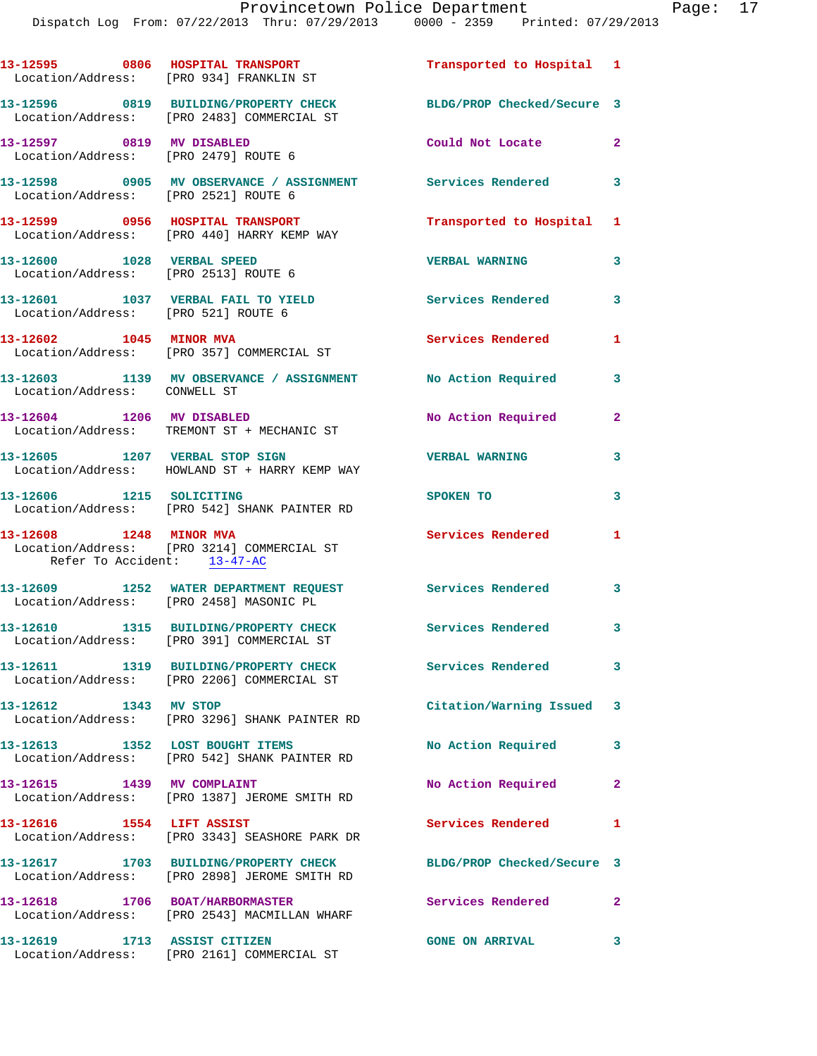| 13-12595 0806 HOSPITAL TRANSPORT<br>Location/Address: [PRO 934] FRANKLIN ST |                                                                                                     | Transported to Hospital 1  |                         |
|-----------------------------------------------------------------------------|-----------------------------------------------------------------------------------------------------|----------------------------|-------------------------|
|                                                                             | 13-12596 0819 BUILDING/PROPERTY CHECK<br>Location/Address: [PRO 2483] COMMERCIAL ST                 | BLDG/PROP Checked/Secure 3 |                         |
| 13-12597 0819 MV DISABLED<br>Location/Address: [PRO 2479] ROUTE 6           |                                                                                                     | Could Not Locate 2         |                         |
| Location/Address: [PRO 2521] ROUTE 6                                        | 13-12598 0905 MV OBSERVANCE / ASSIGNMENT Services Rendered 3                                        |                            |                         |
|                                                                             | 13-12599 0956 HOSPITAL TRANSPORT<br>Location/Address: [PRO 440] HARRY KEMP WAY                      | Transported to Hospital 1  |                         |
| 13-12600 1028 VERBAL SPEED<br>Location/Address: [PRO 2513] ROUTE 6          |                                                                                                     | <b>VERBAL WARNING</b>      | 3                       |
|                                                                             | 13-12601 1037 VERBAL FAIL TO YIELD<br>Location/Address: [PRO 521] ROUTE 6                           | Services Rendered          | 3                       |
| 13-12602 1045 MINOR MVA                                                     | Location/Address: [PRO 357] COMMERCIAL ST                                                           | Services Rendered          | $\mathbf{1}$            |
| Location/Address: CONWELL ST                                                | 13-12603 1139 MV OBSERVANCE / ASSIGNMENT No Action Required                                         |                            | 3                       |
| 13-12604 1206 MV DISABLED                                                   | Location/Address: TREMONT ST + MECHANIC ST                                                          | No Action Required         | $\mathbf{2}$            |
|                                                                             | 13-12605 1207 VERBAL STOP SIGN<br>Location/Address: HOWLAND ST + HARRY KEMP WAY                     | <b>VERBAL WARNING</b>      | 3                       |
| 13-12606 1215 SOLICITING                                                    | Location/Address: [PRO 542] SHANK PAINTER RD                                                        | SPOKEN TO                  | 3                       |
| 13-12608 1248 MINOR MVA<br>Refer To Accident: 13-47-AC                      | Location/Address: [PRO 3214] COMMERCIAL ST                                                          | Services Rendered          | 1.                      |
|                                                                             | 13-12609 1252 WATER DEPARTMENT REQUEST Services Rendered<br>Location/Address: [PRO 2458] MASONIC PL |                            | $\mathbf{3}$            |
|                                                                             | 13-12610 1315 BUILDING/PROPERTY CHECK<br>Location/Address: [PRO 391] COMMERCIAL ST                  | Services Rendered 3        |                         |
|                                                                             | Location/Address: [PRO 2206] COMMERCIAL ST                                                          | <b>Services Rendered</b>   | $\overline{\mathbf{3}}$ |
| 13-12612 1343 MV STOP                                                       | Location/Address: [PRO 3296] SHANK PAINTER RD                                                       | Citation/Warning Issued 3  |                         |
|                                                                             | 13-12613 1352 LOST BOUGHT ITEMS<br>Location/Address: [PRO 542] SHANK PAINTER RD                     | No Action Required         | 3                       |
| 13-12615 1439 MV COMPLAINT                                                  | Location/Address: [PRO 1387] JEROME SMITH RD                                                        | No Action Required         | $\overline{2}$          |
| 13-12616  1554 LIFT ASSIST                                                  | Location/Address: [PRO 3343] SEASHORE PARK DR                                                       | Services Rendered          | 1                       |
|                                                                             | 13-12617 1703 BUILDING/PROPERTY CHECK<br>Location/Address: [PRO 2898] JEROME SMITH RD               | BLDG/PROP Checked/Secure 3 |                         |
|                                                                             | 13-12618 1706 BOAT/HARBORMASTER<br>Location/Address: [PRO 2543] MACMILLAN WHARF                     | Services Rendered          | $\mathbf{2}$            |
| 13-12619 1713 ASSIST CITIZEN                                                | Location/Address: [PRO 2161] COMMERCIAL ST                                                          | <b>GONE ON ARRIVAL</b>     | 3                       |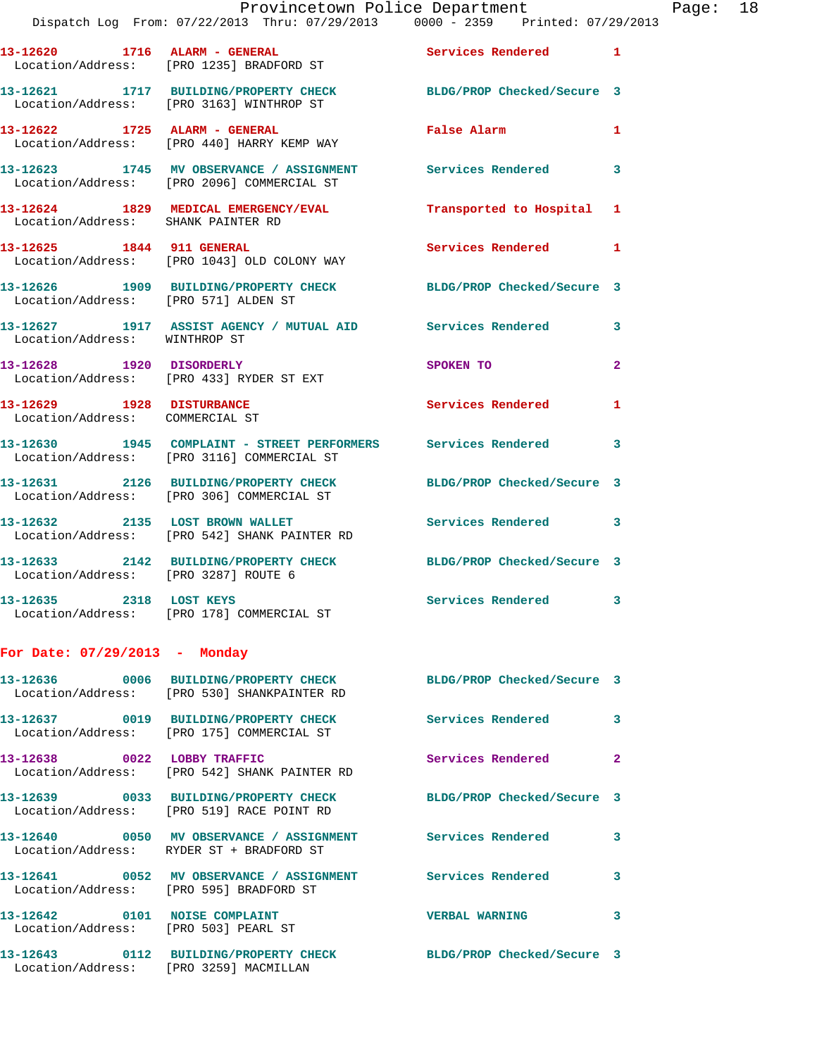|                                                                       | Provincetown Police Department<br>Dispatch Log From: 07/22/2013 Thru: 07/29/2013 0000 - 2359 Printed: 07/29/2013 |                            |                         |
|-----------------------------------------------------------------------|------------------------------------------------------------------------------------------------------------------|----------------------------|-------------------------|
|                                                                       | 13-12620 1716 ALARM - GENERAL Services Rendered<br>Location/Address: [PRO 1235] BRADFORD ST                      |                            | $\mathbf{1}$            |
|                                                                       | 13-12621 1717 BUILDING/PROPERTY CHECK BLDG/PROP Checked/Secure 3<br>Location/Address: [PRO 3163] WINTHROP ST     |                            |                         |
|                                                                       | 13-12622 1725 ALARM - GENERAL<br>Location/Address: [PRO 440] HARRY KEMP WAY                                      | False Alarm                | 1                       |
|                                                                       | 13-12623 1745 MV OBSERVANCE / ASSIGNMENT Services Rendered<br>Location/Address: [PRO 2096] COMMERCIAL ST         |                            | 3                       |
| Location/Address: SHANK PAINTER RD                                    | 13-12624 1829 MEDICAL EMERGENCY/EVAL Transported to Hospital                                                     |                            | 1                       |
| 13-12625 1844 911 GENERAL                                             | Location/Address: [PRO 1043] OLD COLONY WAY                                                                      | Services Rendered          | 1                       |
|                                                                       | 13-12626 1909 BUILDING/PROPERTY CHECK BLDG/PROP Checked/Secure 3<br>Location/Address: [PRO 571] ALDEN ST         |                            |                         |
| Location/Address: WINTHROP ST                                         | 13-12627 1917 ASSIST AGENCY / MUTUAL AID Services Rendered                                                       |                            | 3                       |
| 13-12628 1920 DISORDERLY                                              | Location/Address: [PRO 433] RYDER ST EXT                                                                         | SPOKEN TO                  | $\overline{\mathbf{2}}$ |
| 13-12629 1928 DISTURBANCE<br>Location/Address: COMMERCIAL ST          |                                                                                                                  | <b>Services Rendered</b>   | 1                       |
|                                                                       | 13-12630 1945 COMPLAINT - STREET PERFORMERS Services Rendered<br>Location/Address: [PRO 3116] COMMERCIAL ST      |                            | 3                       |
|                                                                       | 13-12631 2126 BUILDING/PROPERTY CHECK<br>Location/Address: [PRO 306] COMMERCIAL ST                               | BLDG/PROP Checked/Secure 3 |                         |
|                                                                       | 13-12632 2135 LOST BROWN WALLET<br>Location/Address: [PRO 542] SHANK PAINTER RD                                  | Services Rendered          | 3                       |
| Location/Address: [PRO 3287] ROUTE 6                                  | 13-12633 2142 BUILDING/PROPERTY CHECK BLDG/PROP Checked/Secure 3                                                 |                            |                         |
|                                                                       | 13-12635 2318 LOST KEYS<br>Location/Address: [PRO 178] COMMERCIAL ST                                             | Services Rendered 3        |                         |
| For Date: $07/29/2013$ - Monday                                       |                                                                                                                  |                            |                         |
|                                                                       | 13-12636 0006 BUILDING/PROPERTY CHECK BLDG/PROP Checked/Secure 3<br>Location/Address: [PRO 530] SHANKPAINTER RD  |                            |                         |
|                                                                       | 13-12637 0019 BUILDING/PROPERTY CHECK Services Rendered<br>Location/Address: [PRO 175] COMMERCIAL ST             |                            | 3                       |
| 13-12638 0022 LOBBY TRAFFIC                                           | Location/Address: [PRO 542] SHANK PAINTER RD                                                                     | Services Rendered          | $\mathbf{2}$            |
|                                                                       | 13-12639 0033 BUILDING/PROPERTY CHECK BLDG/PROP Checked/Secure 3<br>Location/Address: [PRO 519] RACE POINT RD    |                            |                         |
|                                                                       | 13-12640 0050 MV OBSERVANCE / ASSIGNMENT Services Rendered<br>Location/Address: RYDER ST + BRADFORD ST           |                            | 3                       |
| Location/Address: [PRO 595] BRADFORD ST                               | 13-12641 0052 MV OBSERVANCE / ASSIGNMENT Services Rendered                                                       |                            | 3                       |
| 13-12642 0101 NOISE COMPLAINT<br>Location/Address: [PRO 503] PEARL ST |                                                                                                                  | <b>VERBAL WARNING</b>      | 3                       |

**13-12643 0112 BUILDING/PROPERTY CHECK BLDG/PROP Checked/Secure 3** 

Location/Address: [PRO 3259] MACMILLAN

Page:  $18$ <br>013